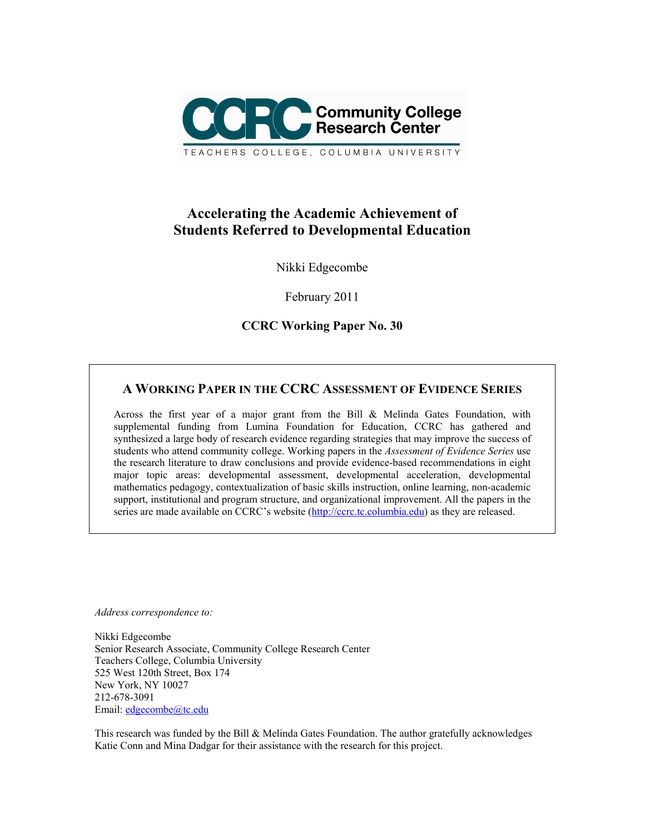

# **Accelerating the Academic Achievement of Students Referred to Developmental Education**

Nikki Edgecombe

February 2011

**CCRC Working Paper No. 30** 

# **A WORKING PAPER IN THE CCRC ASSESSMENT OF EVIDENCE SERIES**

Across the first year of a major grant from the Bill & Melinda Gates Foundation, with supplemental funding from Lumina Foundation for Education, CCRC has gathered and synthesized a large body of research evidence regarding strategies that may improve the success of students who attend community college. Working papers in the *Assessment of Evidence Series* use the research literature to draw conclusions and provide evidence-based recommendations in eight major topic areas: developmental assessment, developmental acceleration, developmental mathematics pedagogy, contextualization of basic skills instruction, online learning, non-academic support, institutional and program structure, and organizational improvement. All the papers in the series are made available on CCRC's website (http://ccrc.tc.columbia.edu) as they are released.

*Address correspondence to:* 

Nikki Edgecombe Senior Research Associate, Community College Research Center Teachers College, Columbia University 525 West 120th Street, Box 174 New York, NY 10027 212-678-3091 Email: edgecombe@tc.edu

This research was funded by the Bill & Melinda Gates Foundation. The author gratefully acknowledges Katie Conn and Mina Dadgar for their assistance with the research for this project.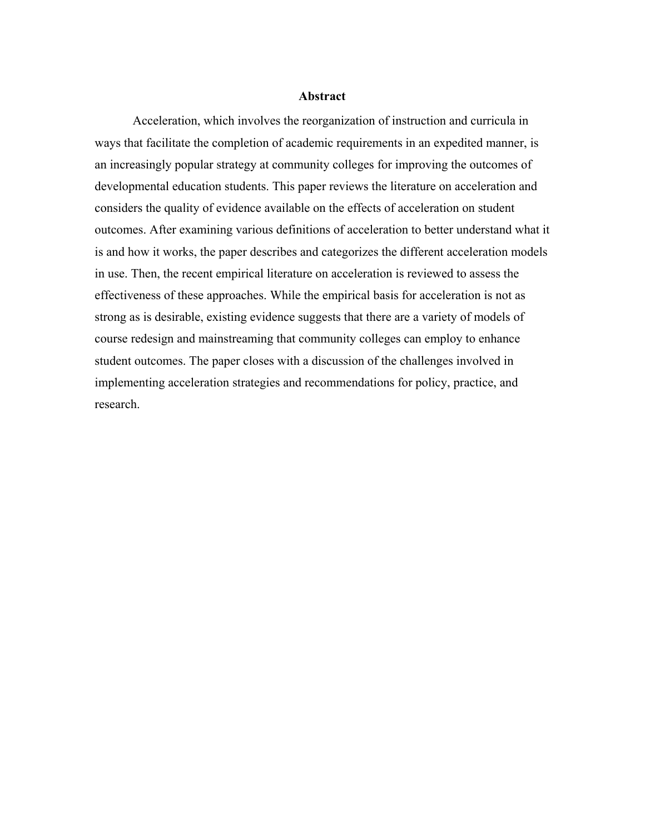#### **Abstract**

 Acceleration, which involves the reorganization of instruction and curricula in ways that facilitate the completion of academic requirements in an expedited manner, is an increasingly popular strategy at community colleges for improving the outcomes of developmental education students. This paper reviews the literature on acceleration and considers the quality of evidence available on the effects of acceleration on student outcomes. After examining various definitions of acceleration to better understand what it is and how it works, the paper describes and categorizes the different acceleration models in use. Then, the recent empirical literature on acceleration is reviewed to assess the effectiveness of these approaches. While the empirical basis for acceleration is not as strong as is desirable, existing evidence suggests that there are a variety of models of course redesign and mainstreaming that community colleges can employ to enhance student outcomes. The paper closes with a discussion of the challenges involved in implementing acceleration strategies and recommendations for policy, practice, and research.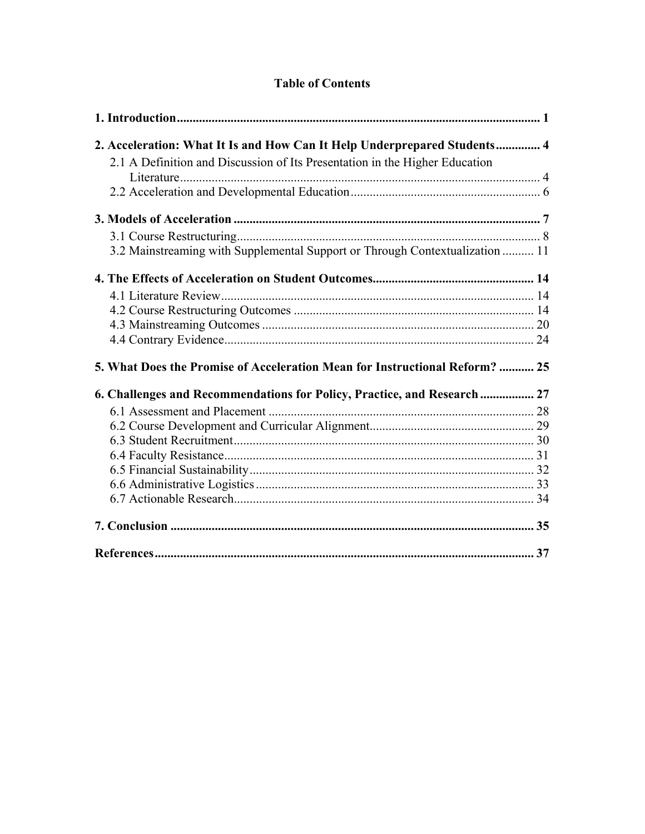| 2. Acceleration: What It Is and How Can It Help Underprepared Students 4     |  |
|------------------------------------------------------------------------------|--|
| 2.1 A Definition and Discussion of Its Presentation in the Higher Education  |  |
|                                                                              |  |
|                                                                              |  |
|                                                                              |  |
|                                                                              |  |
| 3.2 Mainstreaming with Supplemental Support or Through Contextualization  11 |  |
|                                                                              |  |
|                                                                              |  |
|                                                                              |  |
|                                                                              |  |
|                                                                              |  |
| 5. What Does the Promise of Acceleration Mean for Instructional Reform?  25  |  |
| 6. Challenges and Recommendations for Policy, Practice, and Research  27     |  |
|                                                                              |  |
|                                                                              |  |
|                                                                              |  |
|                                                                              |  |
|                                                                              |  |
|                                                                              |  |
|                                                                              |  |
|                                                                              |  |
|                                                                              |  |

# **Table of Contents**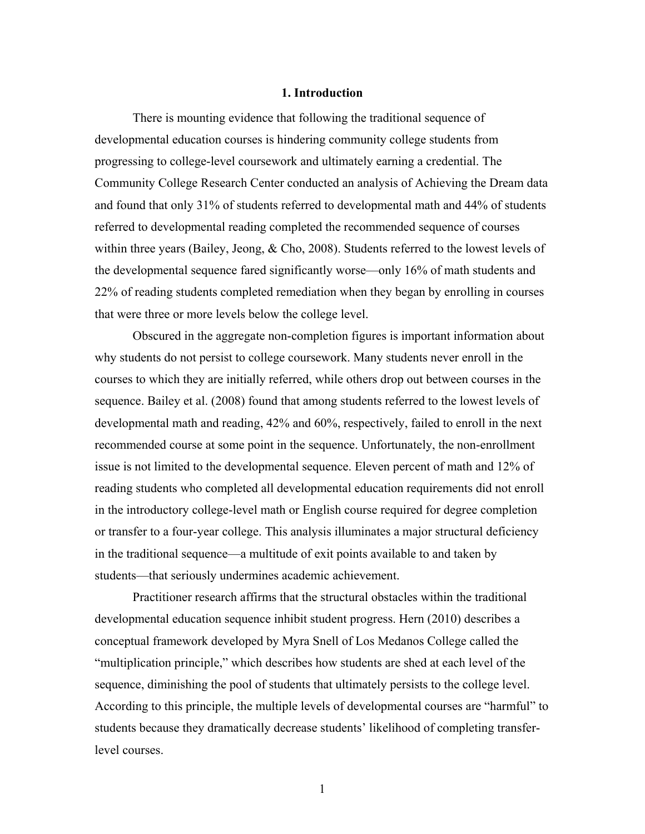# **1. Introduction**

There is mounting evidence that following the traditional sequence of developmental education courses is hindering community college students from progressing to college-level coursework and ultimately earning a credential. The Community College Research Center conducted an analysis of Achieving the Dream data and found that only 31% of students referred to developmental math and 44% of students referred to developmental reading completed the recommended sequence of courses within three years (Bailey, Jeong, & Cho, 2008). Students referred to the lowest levels of the developmental sequence fared significantly worse—only 16% of math students and 22% of reading students completed remediation when they began by enrolling in courses that were three or more levels below the college level.

Obscured in the aggregate non-completion figures is important information about why students do not persist to college coursework. Many students never enroll in the courses to which they are initially referred, while others drop out between courses in the sequence. Bailey et al. (2008) found that among students referred to the lowest levels of developmental math and reading, 42% and 60%, respectively, failed to enroll in the next recommended course at some point in the sequence. Unfortunately, the non-enrollment issue is not limited to the developmental sequence. Eleven percent of math and 12% of reading students who completed all developmental education requirements did not enroll in the introductory college-level math or English course required for degree completion or transfer to a four-year college. This analysis illuminates a major structural deficiency in the traditional sequence—a multitude of exit points available to and taken by students—that seriously undermines academic achievement.

Practitioner research affirms that the structural obstacles within the traditional developmental education sequence inhibit student progress. Hern (2010) describes a conceptual framework developed by Myra Snell of Los Medanos College called the "multiplication principle," which describes how students are shed at each level of the sequence, diminishing the pool of students that ultimately persists to the college level. According to this principle, the multiple levels of developmental courses are "harmful" to students because they dramatically decrease students' likelihood of completing transferlevel courses.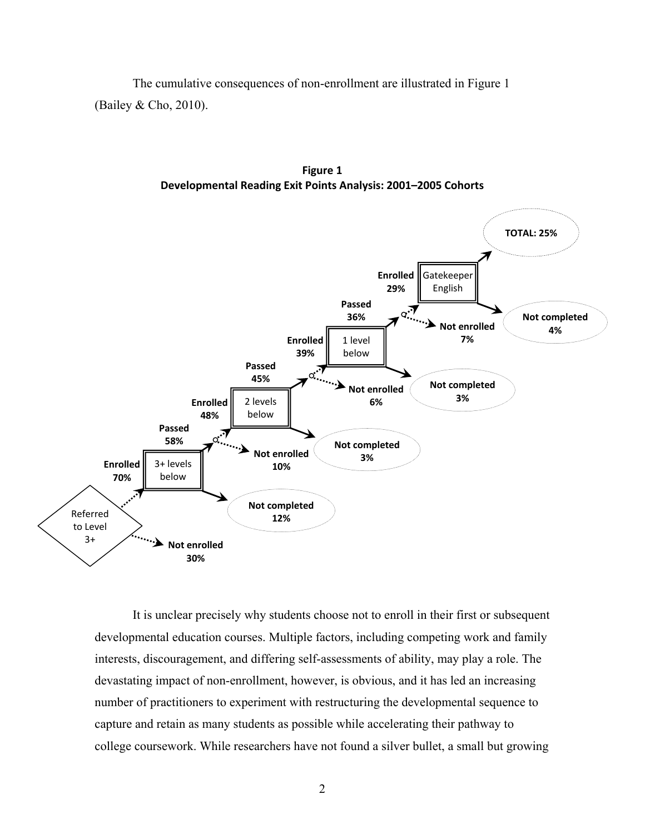The cumulative consequences of non-enrollment are illustrated in Figure 1 (Bailey & Cho, 2010).



**Figure 1 Developmental Reading Exit Points Analysis: 2001–2005 Cohorts**

 It is unclear precisely why students choose not to enroll in their first or subsequent developmental education courses. Multiple factors, including competing work and family interests, discouragement, and differing self-assessments of ability, may play a role. The devastating impact of non-enrollment, however, is obvious, and it has led an increasing number of practitioners to experiment with restructuring the developmental sequence to capture and retain as many students as possible while accelerating their pathway to college coursework. While researchers have not found a silver bullet, a small but growing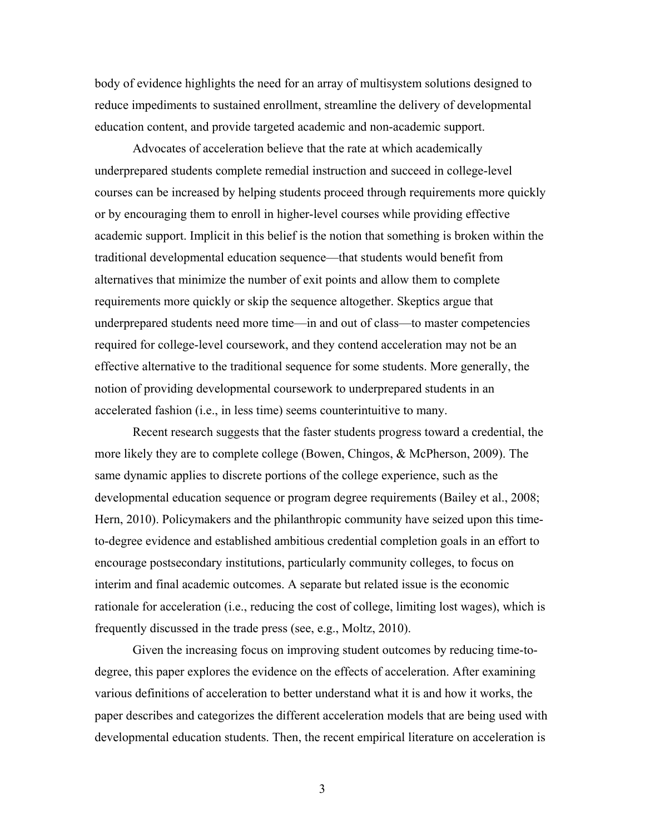body of evidence highlights the need for an array of multisystem solutions designed to reduce impediments to sustained enrollment, streamline the delivery of developmental education content, and provide targeted academic and non-academic support.

Advocates of acceleration believe that the rate at which academically underprepared students complete remedial instruction and succeed in college-level courses can be increased by helping students proceed through requirements more quickly or by encouraging them to enroll in higher-level courses while providing effective academic support. Implicit in this belief is the notion that something is broken within the traditional developmental education sequence—that students would benefit from alternatives that minimize the number of exit points and allow them to complete requirements more quickly or skip the sequence altogether. Skeptics argue that underprepared students need more time—in and out of class—to master competencies required for college-level coursework, and they contend acceleration may not be an effective alternative to the traditional sequence for some students. More generally, the notion of providing developmental coursework to underprepared students in an accelerated fashion (i.e., in less time) seems counterintuitive to many.

Recent research suggests that the faster students progress toward a credential, the more likely they are to complete college (Bowen, Chingos, & McPherson, 2009). The same dynamic applies to discrete portions of the college experience, such as the developmental education sequence or program degree requirements (Bailey et al., 2008; Hern, 2010). Policymakers and the philanthropic community have seized upon this timeto-degree evidence and established ambitious credential completion goals in an effort to encourage postsecondary institutions, particularly community colleges, to focus on interim and final academic outcomes. A separate but related issue is the economic rationale for acceleration (i.e., reducing the cost of college, limiting lost wages), which is frequently discussed in the trade press (see, e.g., Moltz, 2010).

Given the increasing focus on improving student outcomes by reducing time-todegree, this paper explores the evidence on the effects of acceleration. After examining various definitions of acceleration to better understand what it is and how it works, the paper describes and categorizes the different acceleration models that are being used with developmental education students. Then, the recent empirical literature on acceleration is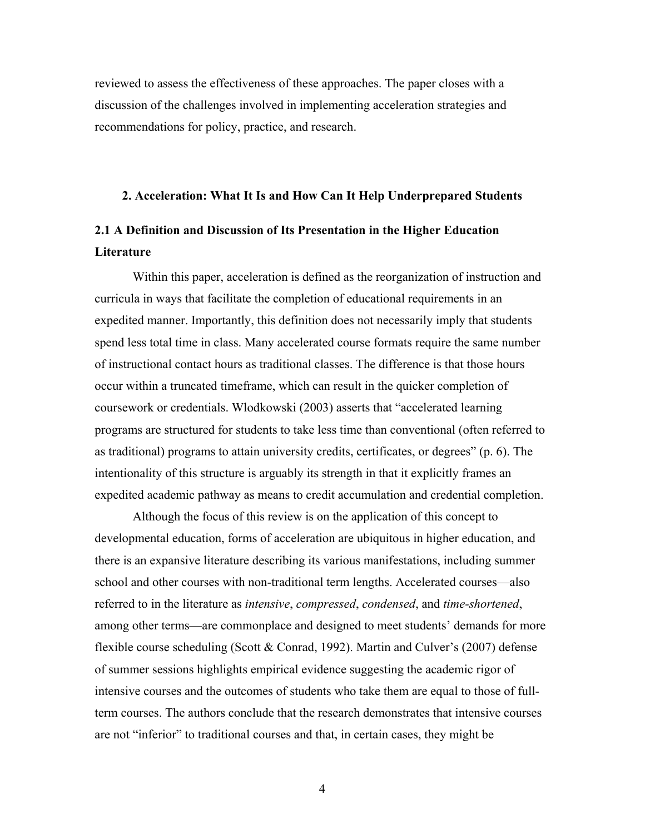reviewed to assess the effectiveness of these approaches. The paper closes with a discussion of the challenges involved in implementing acceleration strategies and recommendations for policy, practice, and research.

# **2. Acceleration: What It Is and How Can It Help Underprepared Students**

# **2.1 A Definition and Discussion of Its Presentation in the Higher Education Literature**

Within this paper, acceleration is defined as the reorganization of instruction and curricula in ways that facilitate the completion of educational requirements in an expedited manner. Importantly, this definition does not necessarily imply that students spend less total time in class. Many accelerated course formats require the same number of instructional contact hours as traditional classes. The difference is that those hours occur within a truncated timeframe, which can result in the quicker completion of coursework or credentials. Wlodkowski (2003) asserts that "accelerated learning programs are structured for students to take less time than conventional (often referred to as traditional) programs to attain university credits, certificates, or degrees" (p. 6). The intentionality of this structure is arguably its strength in that it explicitly frames an expedited academic pathway as means to credit accumulation and credential completion.

Although the focus of this review is on the application of this concept to developmental education, forms of acceleration are ubiquitous in higher education, and there is an expansive literature describing its various manifestations, including summer school and other courses with non-traditional term lengths. Accelerated courses—also referred to in the literature as *intensive*, *compressed*, *condensed*, and *time-shortened*, among other terms—are commonplace and designed to meet students' demands for more flexible course scheduling (Scott & Conrad, 1992). Martin and Culver's (2007) defense of summer sessions highlights empirical evidence suggesting the academic rigor of intensive courses and the outcomes of students who take them are equal to those of fullterm courses. The authors conclude that the research demonstrates that intensive courses are not "inferior" to traditional courses and that, in certain cases, they might be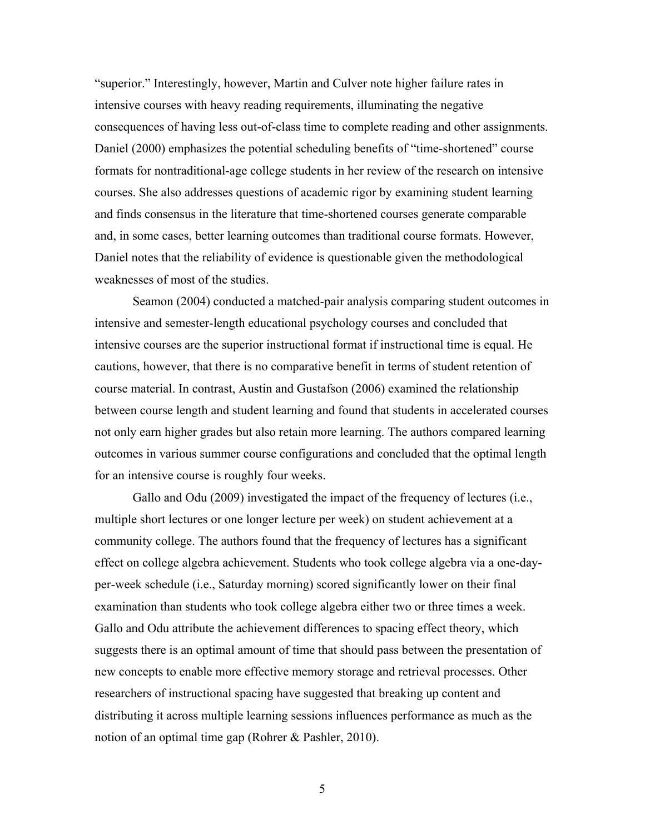"superior." Interestingly, however, Martin and Culver note higher failure rates in intensive courses with heavy reading requirements, illuminating the negative consequences of having less out-of-class time to complete reading and other assignments. Daniel (2000) emphasizes the potential scheduling benefits of "time-shortened" course formats for nontraditional-age college students in her review of the research on intensive courses. She also addresses questions of academic rigor by examining student learning and finds consensus in the literature that time-shortened courses generate comparable and, in some cases, better learning outcomes than traditional course formats. However, Daniel notes that the reliability of evidence is questionable given the methodological weaknesses of most of the studies.

Seamon (2004) conducted a matched-pair analysis comparing student outcomes in intensive and semester-length educational psychology courses and concluded that intensive courses are the superior instructional format if instructional time is equal. He cautions, however, that there is no comparative benefit in terms of student retention of course material. In contrast, Austin and Gustafson (2006) examined the relationship between course length and student learning and found that students in accelerated courses not only earn higher grades but also retain more learning. The authors compared learning outcomes in various summer course configurations and concluded that the optimal length for an intensive course is roughly four weeks.

Gallo and Odu (2009) investigated the impact of the frequency of lectures (i.e., multiple short lectures or one longer lecture per week) on student achievement at a community college. The authors found that the frequency of lectures has a significant effect on college algebra achievement. Students who took college algebra via a one-dayper-week schedule (i.e., Saturday morning) scored significantly lower on their final examination than students who took college algebra either two or three times a week. Gallo and Odu attribute the achievement differences to spacing effect theory, which suggests there is an optimal amount of time that should pass between the presentation of new concepts to enable more effective memory storage and retrieval processes. Other researchers of instructional spacing have suggested that breaking up content and distributing it across multiple learning sessions influences performance as much as the notion of an optimal time gap (Rohrer & Pashler, 2010).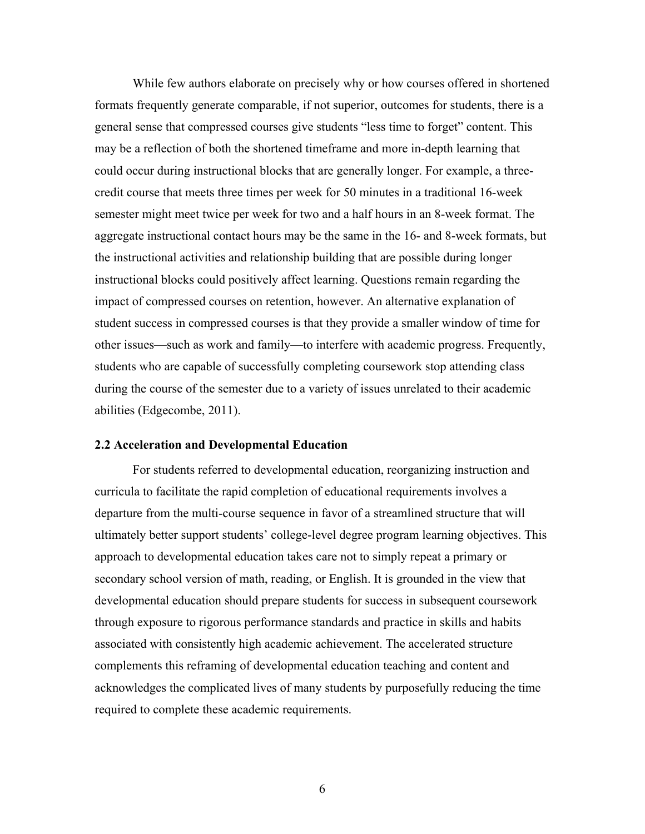While few authors elaborate on precisely why or how courses offered in shortened formats frequently generate comparable, if not superior, outcomes for students, there is a general sense that compressed courses give students "less time to forget" content. This may be a reflection of both the shortened timeframe and more in-depth learning that could occur during instructional blocks that are generally longer. For example, a threecredit course that meets three times per week for 50 minutes in a traditional 16-week semester might meet twice per week for two and a half hours in an 8-week format. The aggregate instructional contact hours may be the same in the 16- and 8-week formats, but the instructional activities and relationship building that are possible during longer instructional blocks could positively affect learning. Questions remain regarding the impact of compressed courses on retention, however. An alternative explanation of student success in compressed courses is that they provide a smaller window of time for other issues—such as work and family—to interfere with academic progress. Frequently, students who are capable of successfully completing coursework stop attending class during the course of the semester due to a variety of issues unrelated to their academic abilities (Edgecombe, 2011).

#### **2.2 Acceleration and Developmental Education**

For students referred to developmental education, reorganizing instruction and curricula to facilitate the rapid completion of educational requirements involves a departure from the multi-course sequence in favor of a streamlined structure that will ultimately better support students' college-level degree program learning objectives. This approach to developmental education takes care not to simply repeat a primary or secondary school version of math, reading, or English. It is grounded in the view that developmental education should prepare students for success in subsequent coursework through exposure to rigorous performance standards and practice in skills and habits associated with consistently high academic achievement. The accelerated structure complements this reframing of developmental education teaching and content and acknowledges the complicated lives of many students by purposefully reducing the time required to complete these academic requirements.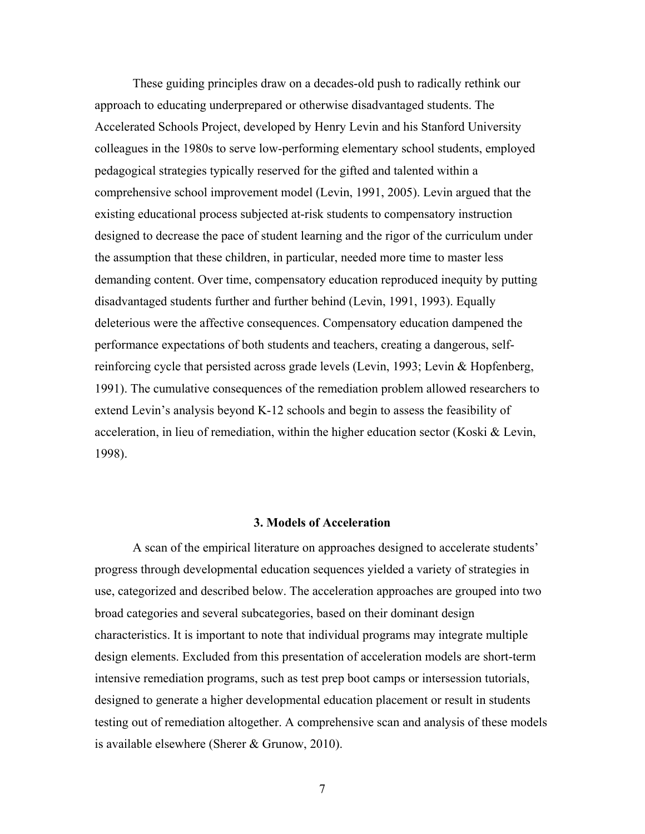These guiding principles draw on a decades-old push to radically rethink our approach to educating underprepared or otherwise disadvantaged students. The Accelerated Schools Project, developed by Henry Levin and his Stanford University colleagues in the 1980s to serve low-performing elementary school students, employed pedagogical strategies typically reserved for the gifted and talented within a comprehensive school improvement model (Levin, 1991, 2005). Levin argued that the existing educational process subjected at-risk students to compensatory instruction designed to decrease the pace of student learning and the rigor of the curriculum under the assumption that these children, in particular, needed more time to master less demanding content. Over time, compensatory education reproduced inequity by putting disadvantaged students further and further behind (Levin, 1991, 1993). Equally deleterious were the affective consequences. Compensatory education dampened the performance expectations of both students and teachers, creating a dangerous, selfreinforcing cycle that persisted across grade levels (Levin, 1993; Levin & Hopfenberg, 1991). The cumulative consequences of the remediation problem allowed researchers to extend Levin's analysis beyond K-12 schools and begin to assess the feasibility of acceleration, in lieu of remediation, within the higher education sector (Koski & Levin, 1998).

# **3. Models of Acceleration**

A scan of the empirical literature on approaches designed to accelerate students' progress through developmental education sequences yielded a variety of strategies in use, categorized and described below. The acceleration approaches are grouped into two broad categories and several subcategories, based on their dominant design characteristics. It is important to note that individual programs may integrate multiple design elements. Excluded from this presentation of acceleration models are short-term intensive remediation programs, such as test prep boot camps or intersession tutorials, designed to generate a higher developmental education placement or result in students testing out of remediation altogether. A comprehensive scan and analysis of these models is available elsewhere (Sherer & Grunow, 2010).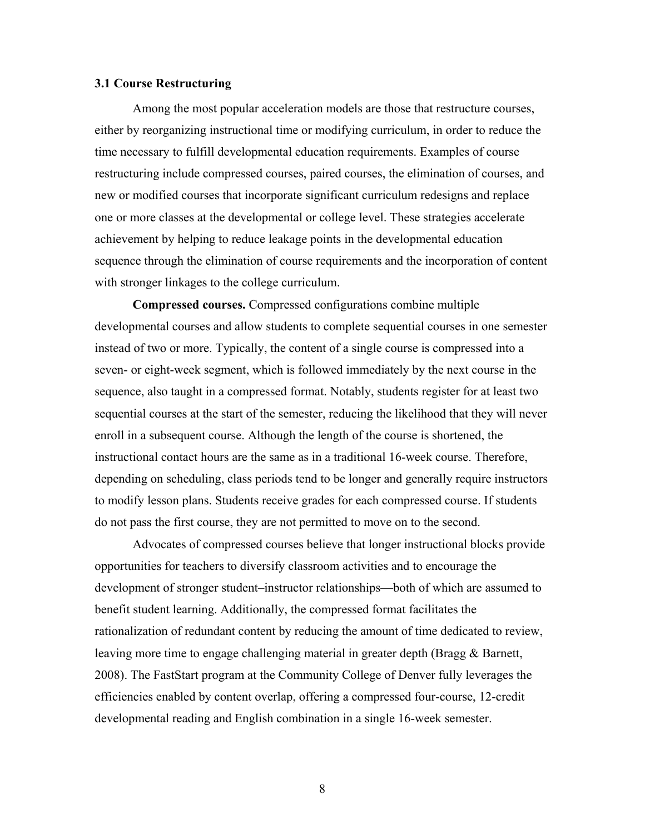# **3.1 Course Restructuring**

Among the most popular acceleration models are those that restructure courses, either by reorganizing instructional time or modifying curriculum, in order to reduce the time necessary to fulfill developmental education requirements. Examples of course restructuring include compressed courses, paired courses, the elimination of courses, and new or modified courses that incorporate significant curriculum redesigns and replace one or more classes at the developmental or college level. These strategies accelerate achievement by helping to reduce leakage points in the developmental education sequence through the elimination of course requirements and the incorporation of content with stronger linkages to the college curriculum.

**Compressed courses.** Compressed configurations combine multiple developmental courses and allow students to complete sequential courses in one semester instead of two or more. Typically, the content of a single course is compressed into a seven- or eight-week segment, which is followed immediately by the next course in the sequence, also taught in a compressed format. Notably, students register for at least two sequential courses at the start of the semester, reducing the likelihood that they will never enroll in a subsequent course. Although the length of the course is shortened, the instructional contact hours are the same as in a traditional 16-week course. Therefore, depending on scheduling, class periods tend to be longer and generally require instructors to modify lesson plans. Students receive grades for each compressed course. If students do not pass the first course, they are not permitted to move on to the second.

Advocates of compressed courses believe that longer instructional blocks provide opportunities for teachers to diversify classroom activities and to encourage the development of stronger student–instructor relationships—both of which are assumed to benefit student learning. Additionally, the compressed format facilitates the rationalization of redundant content by reducing the amount of time dedicated to review, leaving more time to engage challenging material in greater depth (Bragg & Barnett, 2008). The FastStart program at the Community College of Denver fully leverages the efficiencies enabled by content overlap, offering a compressed four-course, 12-credit developmental reading and English combination in a single 16-week semester.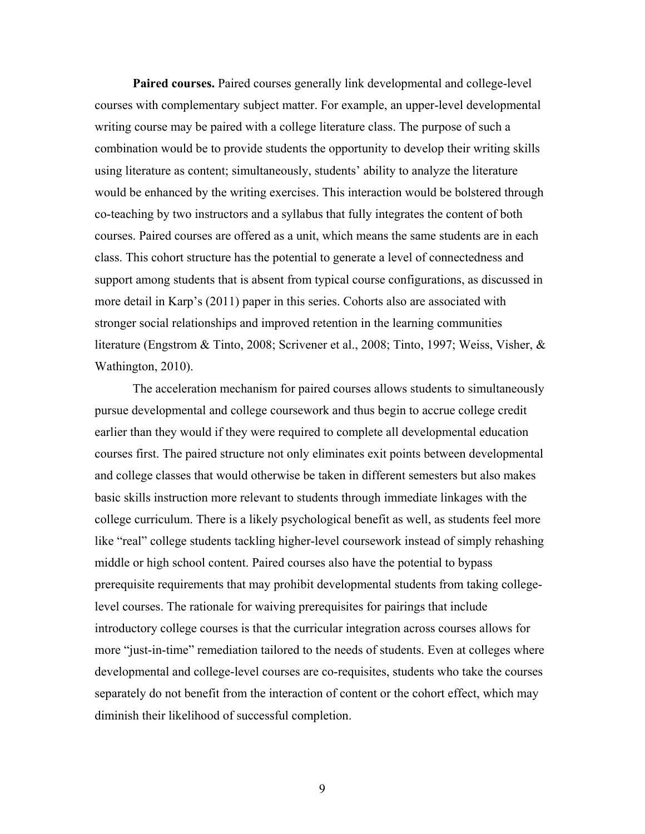**Paired courses.** Paired courses generally link developmental and college-level courses with complementary subject matter. For example, an upper-level developmental writing course may be paired with a college literature class. The purpose of such a combination would be to provide students the opportunity to develop their writing skills using literature as content; simultaneously, students' ability to analyze the literature would be enhanced by the writing exercises. This interaction would be bolstered through co-teaching by two instructors and a syllabus that fully integrates the content of both courses. Paired courses are offered as a unit, which means the same students are in each class. This cohort structure has the potential to generate a level of connectedness and support among students that is absent from typical course configurations, as discussed in more detail in Karp's (2011) paper in this series. Cohorts also are associated with stronger social relationships and improved retention in the learning communities literature (Engstrom & Tinto, 2008; Scrivener et al., 2008; Tinto, 1997; Weiss, Visher, & Wathington, 2010).

The acceleration mechanism for paired courses allows students to simultaneously pursue developmental and college coursework and thus begin to accrue college credit earlier than they would if they were required to complete all developmental education courses first. The paired structure not only eliminates exit points between developmental and college classes that would otherwise be taken in different semesters but also makes basic skills instruction more relevant to students through immediate linkages with the college curriculum. There is a likely psychological benefit as well, as students feel more like "real" college students tackling higher-level coursework instead of simply rehashing middle or high school content. Paired courses also have the potential to bypass prerequisite requirements that may prohibit developmental students from taking collegelevel courses. The rationale for waiving prerequisites for pairings that include introductory college courses is that the curricular integration across courses allows for more "just-in-time" remediation tailored to the needs of students. Even at colleges where developmental and college-level courses are co-requisites, students who take the courses separately do not benefit from the interaction of content or the cohort effect, which may diminish their likelihood of successful completion.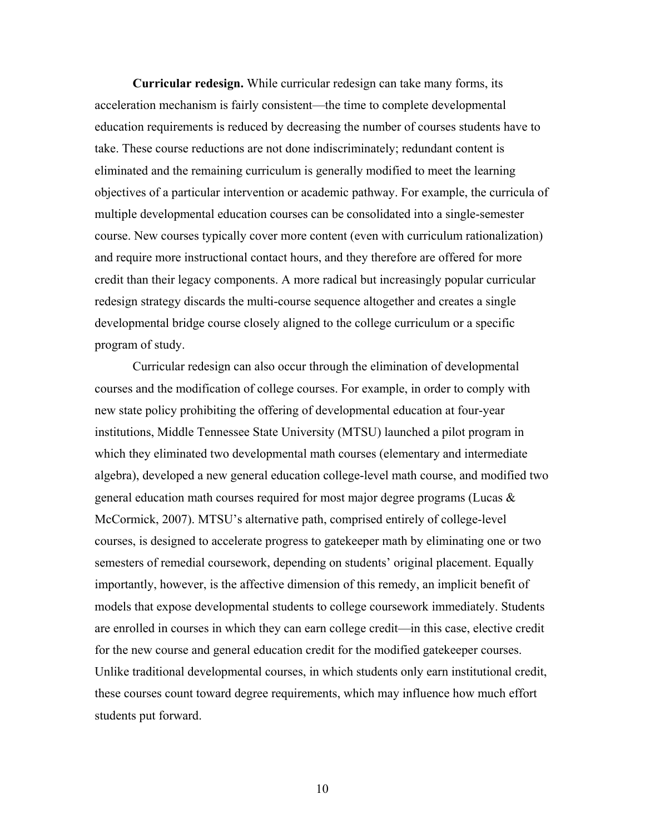**Curricular redesign.** While curricular redesign can take many forms, its acceleration mechanism is fairly consistent—the time to complete developmental education requirements is reduced by decreasing the number of courses students have to take. These course reductions are not done indiscriminately; redundant content is eliminated and the remaining curriculum is generally modified to meet the learning objectives of a particular intervention or academic pathway. For example, the curricula of multiple developmental education courses can be consolidated into a single-semester course. New courses typically cover more content (even with curriculum rationalization) and require more instructional contact hours, and they therefore are offered for more credit than their legacy components. A more radical but increasingly popular curricular redesign strategy discards the multi-course sequence altogether and creates a single developmental bridge course closely aligned to the college curriculum or a specific program of study.

Curricular redesign can also occur through the elimination of developmental courses and the modification of college courses. For example, in order to comply with new state policy prohibiting the offering of developmental education at four-year institutions, Middle Tennessee State University (MTSU) launched a pilot program in which they eliminated two developmental math courses (elementary and intermediate algebra), developed a new general education college-level math course, and modified two general education math courses required for most major degree programs (Lucas & McCormick, 2007). MTSU's alternative path, comprised entirely of college-level courses, is designed to accelerate progress to gatekeeper math by eliminating one or two semesters of remedial coursework, depending on students' original placement. Equally importantly, however, is the affective dimension of this remedy, an implicit benefit of models that expose developmental students to college coursework immediately. Students are enrolled in courses in which they can earn college credit—in this case, elective credit for the new course and general education credit for the modified gatekeeper courses. Unlike traditional developmental courses, in which students only earn institutional credit, these courses count toward degree requirements, which may influence how much effort students put forward.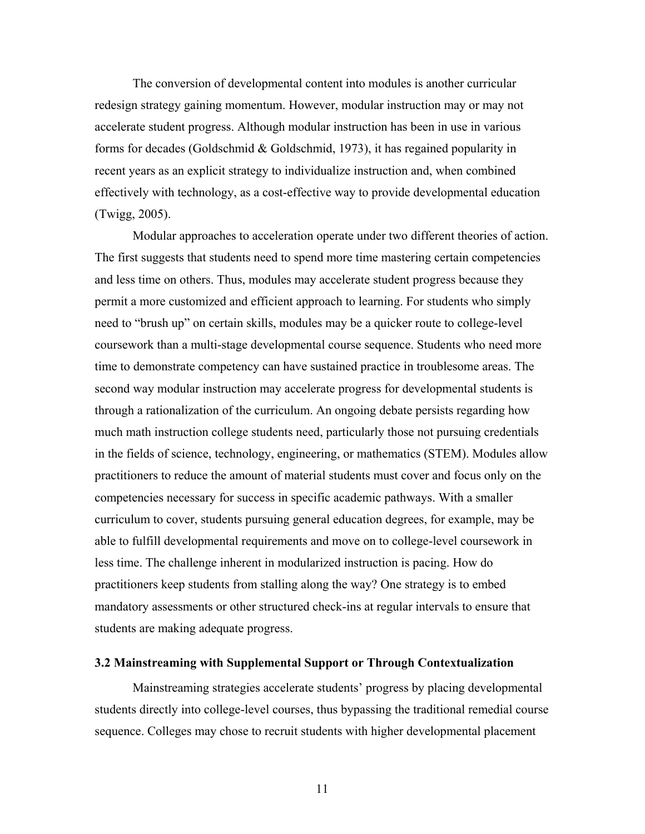The conversion of developmental content into modules is another curricular redesign strategy gaining momentum. However, modular instruction may or may not accelerate student progress. Although modular instruction has been in use in various forms for decades (Goldschmid & Goldschmid, 1973), it has regained popularity in recent years as an explicit strategy to individualize instruction and, when combined effectively with technology, as a cost-effective way to provide developmental education (Twigg, 2005).

Modular approaches to acceleration operate under two different theories of action. The first suggests that students need to spend more time mastering certain competencies and less time on others. Thus, modules may accelerate student progress because they permit a more customized and efficient approach to learning. For students who simply need to "brush up" on certain skills, modules may be a quicker route to college-level coursework than a multi-stage developmental course sequence. Students who need more time to demonstrate competency can have sustained practice in troublesome areas. The second way modular instruction may accelerate progress for developmental students is through a rationalization of the curriculum. An ongoing debate persists regarding how much math instruction college students need, particularly those not pursuing credentials in the fields of science, technology, engineering, or mathematics (STEM). Modules allow practitioners to reduce the amount of material students must cover and focus only on the competencies necessary for success in specific academic pathways. With a smaller curriculum to cover, students pursuing general education degrees, for example, may be able to fulfill developmental requirements and move on to college-level coursework in less time. The challenge inherent in modularized instruction is pacing. How do practitioners keep students from stalling along the way? One strategy is to embed mandatory assessments or other structured check-ins at regular intervals to ensure that students are making adequate progress.

# **3.2 Mainstreaming with Supplemental Support or Through Contextualization**

Mainstreaming strategies accelerate students' progress by placing developmental students directly into college-level courses, thus bypassing the traditional remedial course sequence. Colleges may chose to recruit students with higher developmental placement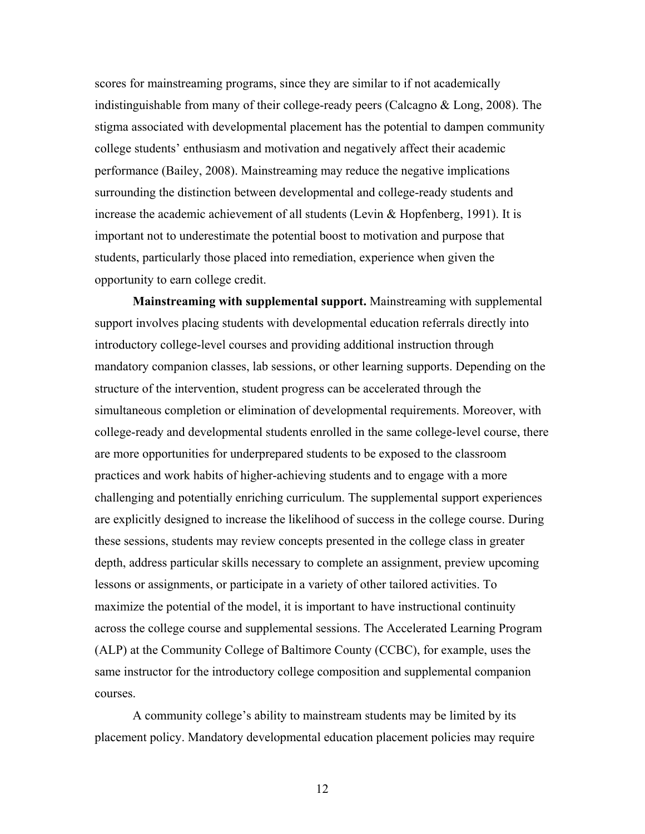scores for mainstreaming programs, since they are similar to if not academically indistinguishable from many of their college-ready peers (Calcagno & Long, 2008). The stigma associated with developmental placement has the potential to dampen community college students' enthusiasm and motivation and negatively affect their academic performance (Bailey, 2008). Mainstreaming may reduce the negative implications surrounding the distinction between developmental and college-ready students and increase the academic achievement of all students (Levin & Hopfenberg, 1991). It is important not to underestimate the potential boost to motivation and purpose that students, particularly those placed into remediation, experience when given the opportunity to earn college credit.

**Mainstreaming with supplemental support.** Mainstreaming with supplemental support involves placing students with developmental education referrals directly into introductory college-level courses and providing additional instruction through mandatory companion classes, lab sessions, or other learning supports. Depending on the structure of the intervention, student progress can be accelerated through the simultaneous completion or elimination of developmental requirements. Moreover, with college-ready and developmental students enrolled in the same college-level course, there are more opportunities for underprepared students to be exposed to the classroom practices and work habits of higher-achieving students and to engage with a more challenging and potentially enriching curriculum. The supplemental support experiences are explicitly designed to increase the likelihood of success in the college course. During these sessions, students may review concepts presented in the college class in greater depth, address particular skills necessary to complete an assignment, preview upcoming lessons or assignments, or participate in a variety of other tailored activities. To maximize the potential of the model, it is important to have instructional continuity across the college course and supplemental sessions. The Accelerated Learning Program (ALP) at the Community College of Baltimore County (CCBC), for example, uses the same instructor for the introductory college composition and supplemental companion courses.

A community college's ability to mainstream students may be limited by its placement policy. Mandatory developmental education placement policies may require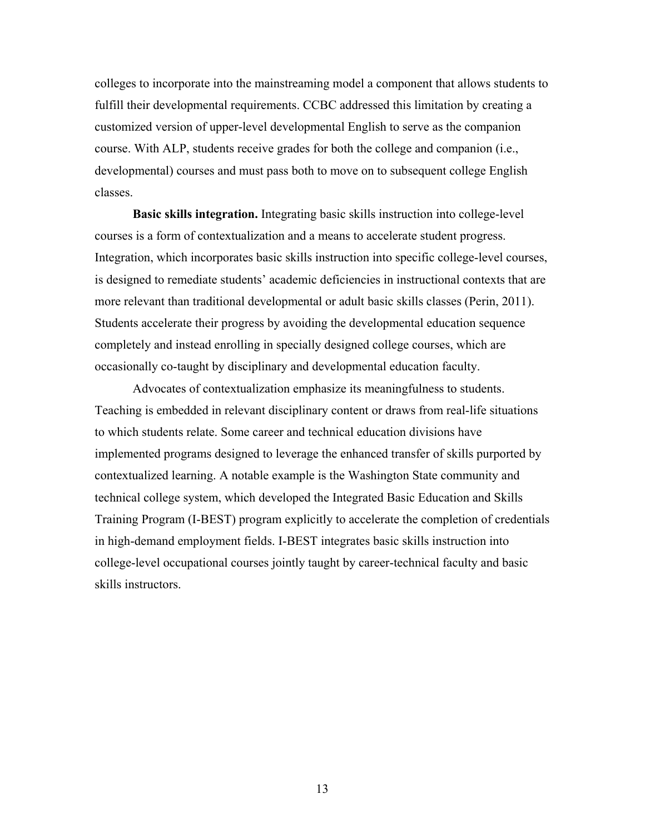colleges to incorporate into the mainstreaming model a component that allows students to fulfill their developmental requirements. CCBC addressed this limitation by creating a customized version of upper-level developmental English to serve as the companion course. With ALP, students receive grades for both the college and companion (i.e., developmental) courses and must pass both to move on to subsequent college English classes.

**Basic skills integration.** Integrating basic skills instruction into college-level courses is a form of contextualization and a means to accelerate student progress. Integration, which incorporates basic skills instruction into specific college-level courses, is designed to remediate students' academic deficiencies in instructional contexts that are more relevant than traditional developmental or adult basic skills classes (Perin, 2011). Students accelerate their progress by avoiding the developmental education sequence completely and instead enrolling in specially designed college courses, which are occasionally co-taught by disciplinary and developmental education faculty.

Advocates of contextualization emphasize its meaningfulness to students. Teaching is embedded in relevant disciplinary content or draws from real-life situations to which students relate. Some career and technical education divisions have implemented programs designed to leverage the enhanced transfer of skills purported by contextualized learning. A notable example is the Washington State community and technical college system, which developed the Integrated Basic Education and Skills Training Program (I-BEST) program explicitly to accelerate the completion of credentials in high-demand employment fields. I-BEST integrates basic skills instruction into college-level occupational courses jointly taught by career-technical faculty and basic skills instructors.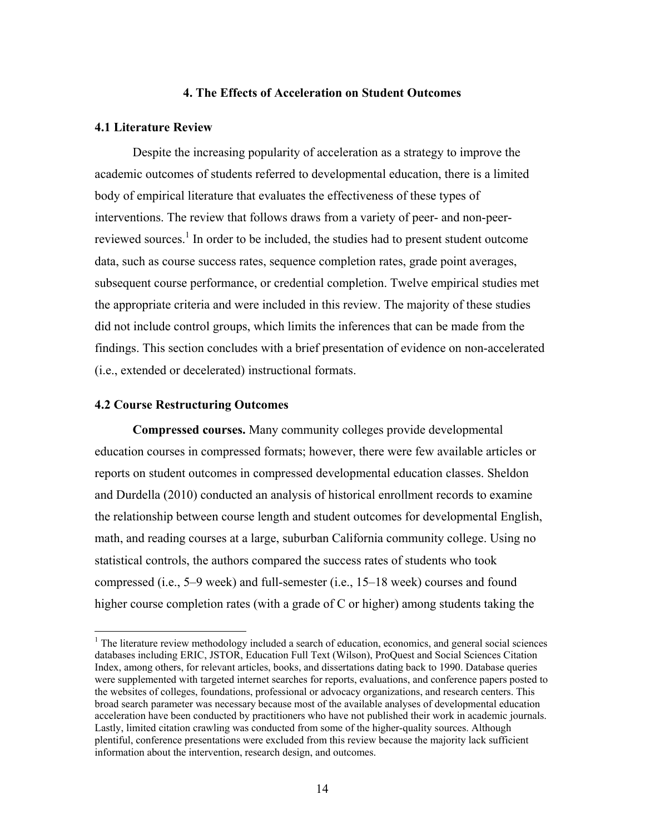# **4. The Effects of Acceleration on Student Outcomes**

#### **4.1 Literature Review**

Despite the increasing popularity of acceleration as a strategy to improve the academic outcomes of students referred to developmental education, there is a limited body of empirical literature that evaluates the effectiveness of these types of interventions. The review that follows draws from a variety of peer- and non-peerreviewed sources.<sup>1</sup> In order to be included, the studies had to present student outcome data, such as course success rates, sequence completion rates, grade point averages, subsequent course performance, or credential completion. Twelve empirical studies met the appropriate criteria and were included in this review. The majority of these studies did not include control groups, which limits the inferences that can be made from the findings. This section concludes with a brief presentation of evidence on non-accelerated (i.e., extended or decelerated) instructional formats.

# **4.2 Course Restructuring Outcomes**

 $\overline{a}$ 

**Compressed courses.** Many community colleges provide developmental education courses in compressed formats; however, there were few available articles or reports on student outcomes in compressed developmental education classes. Sheldon and Durdella (2010) conducted an analysis of historical enrollment records to examine the relationship between course length and student outcomes for developmental English, math, and reading courses at a large, suburban California community college. Using no statistical controls, the authors compared the success rates of students who took compressed (i.e., 5–9 week) and full-semester (i.e., 15–18 week) courses and found higher course completion rates (with a grade of C or higher) among students taking the

 $<sup>1</sup>$  The literature review methodology included a search of education, economics, and general social sciences</sup> databases including ERIC, JSTOR, Education Full Text (Wilson), ProQuest and Social Sciences Citation Index, among others, for relevant articles, books, and dissertations dating back to 1990. Database queries were supplemented with targeted internet searches for reports, evaluations, and conference papers posted to the websites of colleges, foundations, professional or advocacy organizations, and research centers. This broad search parameter was necessary because most of the available analyses of developmental education acceleration have been conducted by practitioners who have not published their work in academic journals. Lastly, limited citation crawling was conducted from some of the higher-quality sources. Although plentiful, conference presentations were excluded from this review because the majority lack sufficient information about the intervention, research design, and outcomes.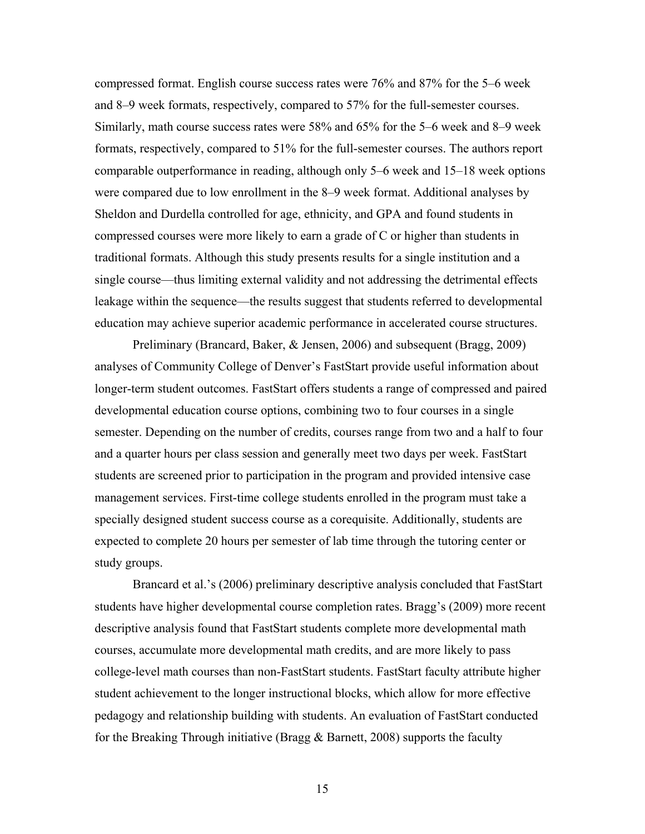compressed format. English course success rates were 76% and 87% for the 5–6 week and 8–9 week formats, respectively, compared to 57% for the full-semester courses. Similarly, math course success rates were 58% and 65% for the 5–6 week and 8–9 week formats, respectively, compared to 51% for the full-semester courses. The authors report comparable outperformance in reading, although only 5–6 week and 15–18 week options were compared due to low enrollment in the 8–9 week format. Additional analyses by Sheldon and Durdella controlled for age, ethnicity, and GPA and found students in compressed courses were more likely to earn a grade of C or higher than students in traditional formats. Although this study presents results for a single institution and a single course—thus limiting external validity and not addressing the detrimental effects leakage within the sequence—the results suggest that students referred to developmental education may achieve superior academic performance in accelerated course structures.

Preliminary (Brancard, Baker, & Jensen, 2006) and subsequent (Bragg, 2009) analyses of Community College of Denver's FastStart provide useful information about longer-term student outcomes. FastStart offers students a range of compressed and paired developmental education course options, combining two to four courses in a single semester. Depending on the number of credits, courses range from two and a half to four and a quarter hours per class session and generally meet two days per week. FastStart students are screened prior to participation in the program and provided intensive case management services. First-time college students enrolled in the program must take a specially designed student success course as a corequisite. Additionally, students are expected to complete 20 hours per semester of lab time through the tutoring center or study groups.

Brancard et al.'s (2006) preliminary descriptive analysis concluded that FastStart students have higher developmental course completion rates. Bragg's (2009) more recent descriptive analysis found that FastStart students complete more developmental math courses, accumulate more developmental math credits, and are more likely to pass college-level math courses than non-FastStart students. FastStart faculty attribute higher student achievement to the longer instructional blocks, which allow for more effective pedagogy and relationship building with students. An evaluation of FastStart conducted for the Breaking Through initiative (Bragg & Barnett, 2008) supports the faculty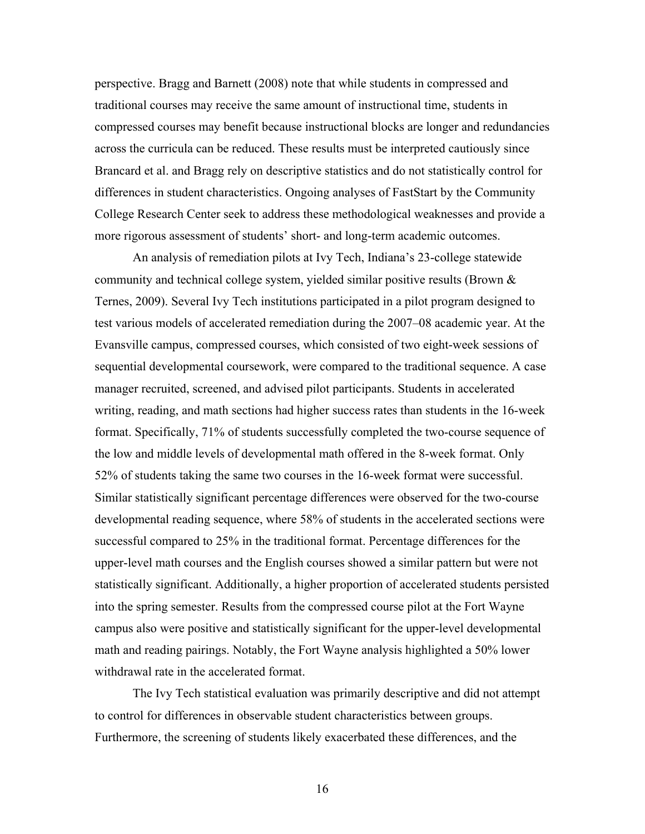perspective. Bragg and Barnett (2008) note that while students in compressed and traditional courses may receive the same amount of instructional time, students in compressed courses may benefit because instructional blocks are longer and redundancies across the curricula can be reduced. These results must be interpreted cautiously since Brancard et al. and Bragg rely on descriptive statistics and do not statistically control for differences in student characteristics. Ongoing analyses of FastStart by the Community College Research Center seek to address these methodological weaknesses and provide a more rigorous assessment of students' short- and long-term academic outcomes.

An analysis of remediation pilots at Ivy Tech, Indiana's 23-college statewide community and technical college system, yielded similar positive results (Brown & Ternes, 2009). Several Ivy Tech institutions participated in a pilot program designed to test various models of accelerated remediation during the 2007–08 academic year. At the Evansville campus, compressed courses, which consisted of two eight-week sessions of sequential developmental coursework, were compared to the traditional sequence. A case manager recruited, screened, and advised pilot participants. Students in accelerated writing, reading, and math sections had higher success rates than students in the 16-week format. Specifically, 71% of students successfully completed the two-course sequence of the low and middle levels of developmental math offered in the 8-week format. Only 52% of students taking the same two courses in the 16-week format were successful. Similar statistically significant percentage differences were observed for the two-course developmental reading sequence, where 58% of students in the accelerated sections were successful compared to 25% in the traditional format. Percentage differences for the upper-level math courses and the English courses showed a similar pattern but were not statistically significant. Additionally, a higher proportion of accelerated students persisted into the spring semester. Results from the compressed course pilot at the Fort Wayne campus also were positive and statistically significant for the upper-level developmental math and reading pairings. Notably, the Fort Wayne analysis highlighted a 50% lower withdrawal rate in the accelerated format.

The Ivy Tech statistical evaluation was primarily descriptive and did not attempt to control for differences in observable student characteristics between groups. Furthermore, the screening of students likely exacerbated these differences, and the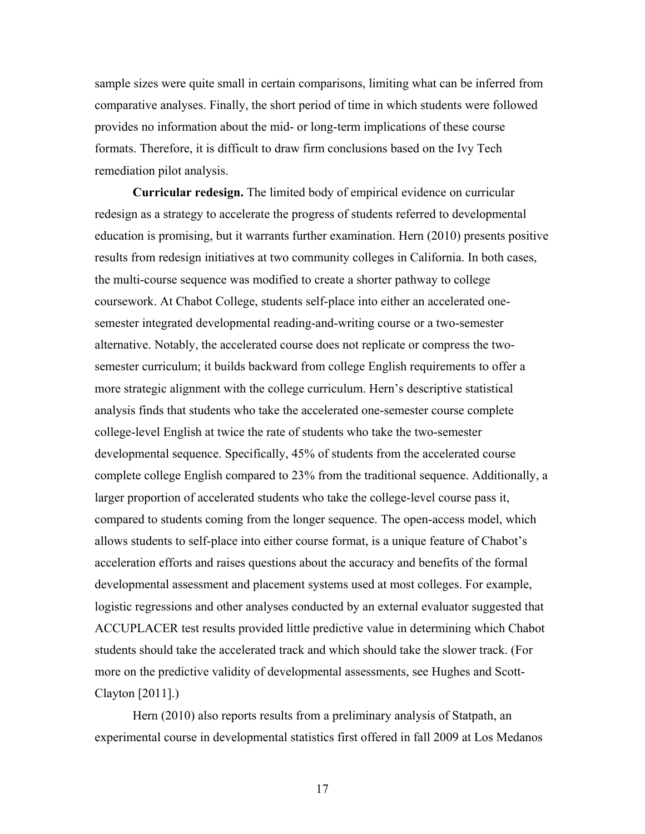sample sizes were quite small in certain comparisons, limiting what can be inferred from comparative analyses. Finally, the short period of time in which students were followed provides no information about the mid- or long-term implications of these course formats. Therefore, it is difficult to draw firm conclusions based on the Ivy Tech remediation pilot analysis.

**Curricular redesign.** The limited body of empirical evidence on curricular redesign as a strategy to accelerate the progress of students referred to developmental education is promising, but it warrants further examination. Hern (2010) presents positive results from redesign initiatives at two community colleges in California. In both cases, the multi-course sequence was modified to create a shorter pathway to college coursework. At Chabot College, students self-place into either an accelerated onesemester integrated developmental reading-and-writing course or a two-semester alternative. Notably, the accelerated course does not replicate or compress the twosemester curriculum; it builds backward from college English requirements to offer a more strategic alignment with the college curriculum. Hern's descriptive statistical analysis finds that students who take the accelerated one-semester course complete college-level English at twice the rate of students who take the two-semester developmental sequence. Specifically, 45% of students from the accelerated course complete college English compared to 23% from the traditional sequence. Additionally, a larger proportion of accelerated students who take the college-level course pass it, compared to students coming from the longer sequence. The open-access model, which allows students to self-place into either course format, is a unique feature of Chabot's acceleration efforts and raises questions about the accuracy and benefits of the formal developmental assessment and placement systems used at most colleges. For example, logistic regressions and other analyses conducted by an external evaluator suggested that ACCUPLACER test results provided little predictive value in determining which Chabot students should take the accelerated track and which should take the slower track. (For more on the predictive validity of developmental assessments, see Hughes and Scott-Clayton [2011].)

Hern (2010) also reports results from a preliminary analysis of Statpath, an experimental course in developmental statistics first offered in fall 2009 at Los Medanos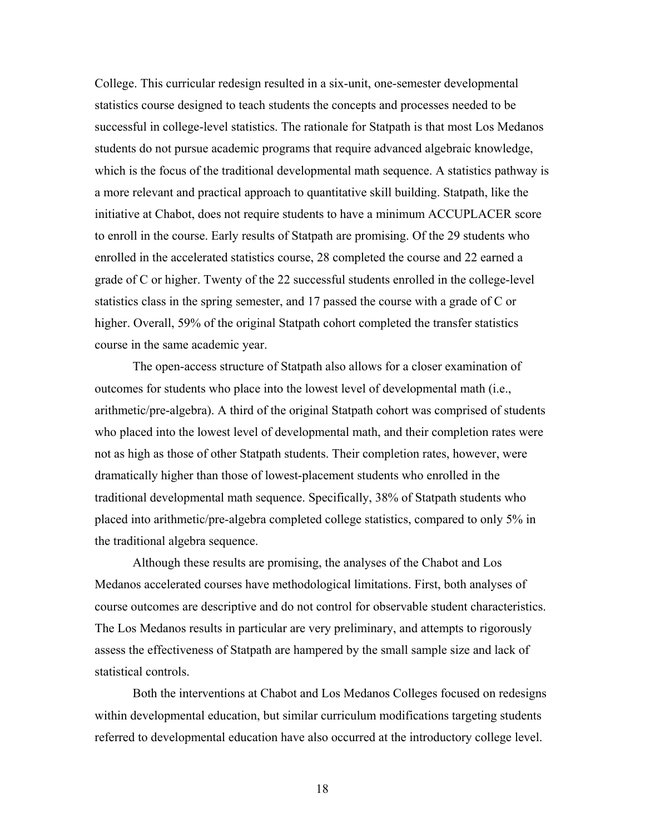College. This curricular redesign resulted in a six-unit, one-semester developmental statistics course designed to teach students the concepts and processes needed to be successful in college-level statistics. The rationale for Statpath is that most Los Medanos students do not pursue academic programs that require advanced algebraic knowledge, which is the focus of the traditional developmental math sequence. A statistics pathway is a more relevant and practical approach to quantitative skill building. Statpath, like the initiative at Chabot, does not require students to have a minimum ACCUPLACER score to enroll in the course. Early results of Statpath are promising. Of the 29 students who enrolled in the accelerated statistics course, 28 completed the course and 22 earned a grade of C or higher. Twenty of the 22 successful students enrolled in the college-level statistics class in the spring semester, and 17 passed the course with a grade of C or higher. Overall, 59% of the original Statpath cohort completed the transfer statistics course in the same academic year.

The open-access structure of Statpath also allows for a closer examination of outcomes for students who place into the lowest level of developmental math (i.e., arithmetic/pre-algebra). A third of the original Statpath cohort was comprised of students who placed into the lowest level of developmental math, and their completion rates were not as high as those of other Statpath students. Their completion rates, however, were dramatically higher than those of lowest-placement students who enrolled in the traditional developmental math sequence. Specifically, 38% of Statpath students who placed into arithmetic/pre-algebra completed college statistics, compared to only 5% in the traditional algebra sequence.

Although these results are promising, the analyses of the Chabot and Los Medanos accelerated courses have methodological limitations. First, both analyses of course outcomes are descriptive and do not control for observable student characteristics. The Los Medanos results in particular are very preliminary, and attempts to rigorously assess the effectiveness of Statpath are hampered by the small sample size and lack of statistical controls.

Both the interventions at Chabot and Los Medanos Colleges focused on redesigns within developmental education, but similar curriculum modifications targeting students referred to developmental education have also occurred at the introductory college level.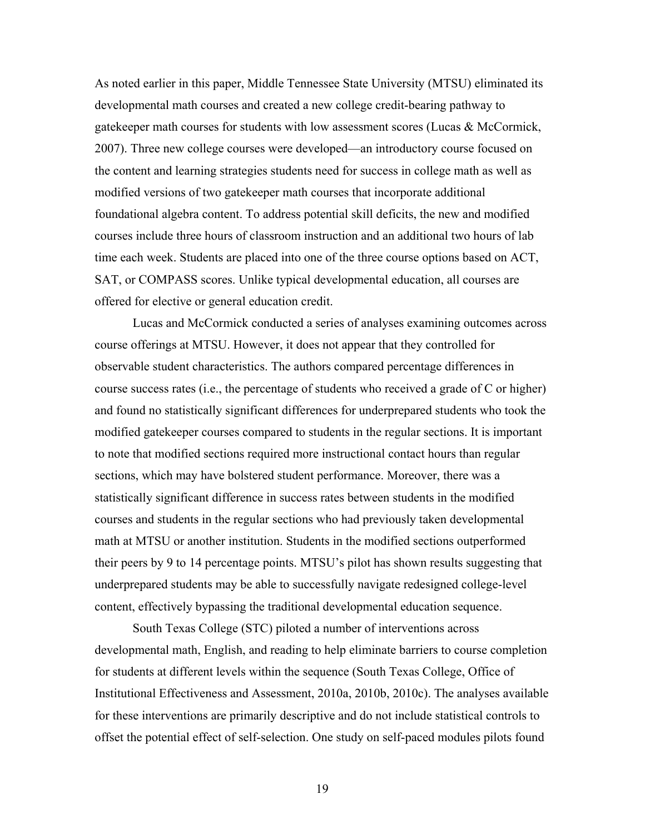As noted earlier in this paper, Middle Tennessee State University (MTSU) eliminated its developmental math courses and created a new college credit-bearing pathway to gatekeeper math courses for students with low assessment scores (Lucas & McCormick, 2007). Three new college courses were developed—an introductory course focused on the content and learning strategies students need for success in college math as well as modified versions of two gatekeeper math courses that incorporate additional foundational algebra content. To address potential skill deficits, the new and modified courses include three hours of classroom instruction and an additional two hours of lab time each week. Students are placed into one of the three course options based on ACT, SAT, or COMPASS scores. Unlike typical developmental education, all courses are offered for elective or general education credit.

Lucas and McCormick conducted a series of analyses examining outcomes across course offerings at MTSU. However, it does not appear that they controlled for observable student characteristics. The authors compared percentage differences in course success rates (i.e., the percentage of students who received a grade of C or higher) and found no statistically significant differences for underprepared students who took the modified gatekeeper courses compared to students in the regular sections. It is important to note that modified sections required more instructional contact hours than regular sections, which may have bolstered student performance. Moreover, there was a statistically significant difference in success rates between students in the modified courses and students in the regular sections who had previously taken developmental math at MTSU or another institution. Students in the modified sections outperformed their peers by 9 to 14 percentage points. MTSU's pilot has shown results suggesting that underprepared students may be able to successfully navigate redesigned college-level content, effectively bypassing the traditional developmental education sequence.

South Texas College (STC) piloted a number of interventions across developmental math, English, and reading to help eliminate barriers to course completion for students at different levels within the sequence (South Texas College, Office of Institutional Effectiveness and Assessment, 2010a, 2010b, 2010c). The analyses available for these interventions are primarily descriptive and do not include statistical controls to offset the potential effect of self-selection. One study on self-paced modules pilots found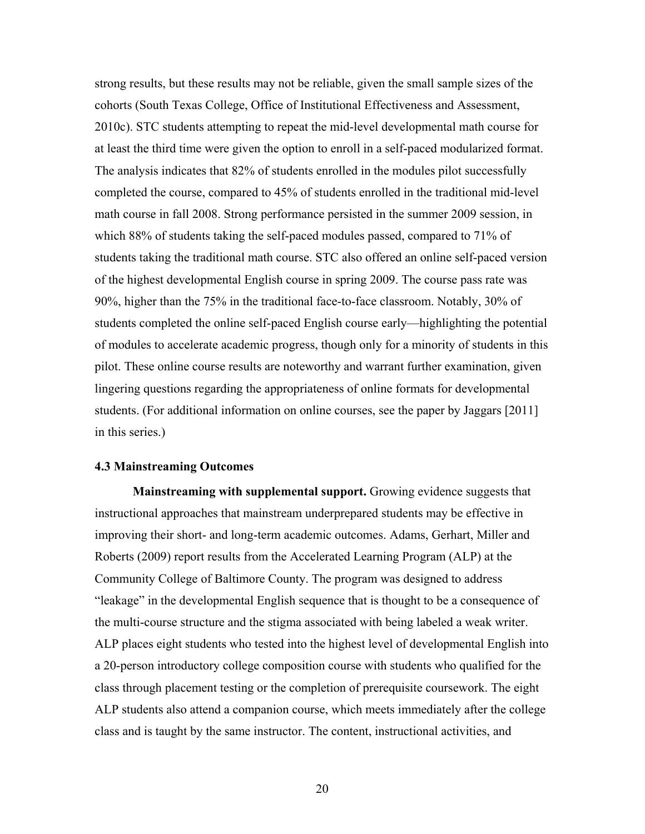strong results, but these results may not be reliable, given the small sample sizes of the cohorts (South Texas College, Office of Institutional Effectiveness and Assessment, 2010c). STC students attempting to repeat the mid-level developmental math course for at least the third time were given the option to enroll in a self-paced modularized format. The analysis indicates that 82% of students enrolled in the modules pilot successfully completed the course, compared to 45% of students enrolled in the traditional mid-level math course in fall 2008. Strong performance persisted in the summer 2009 session, in which 88% of students taking the self-paced modules passed, compared to 71% of students taking the traditional math course. STC also offered an online self-paced version of the highest developmental English course in spring 2009. The course pass rate was 90%, higher than the 75% in the traditional face-to-face classroom. Notably, 30% of students completed the online self-paced English course early—highlighting the potential of modules to accelerate academic progress, though only for a minority of students in this pilot. These online course results are noteworthy and warrant further examination, given lingering questions regarding the appropriateness of online formats for developmental students. (For additional information on online courses, see the paper by Jaggars [2011] in this series.)

#### **4.3 Mainstreaming Outcomes**

**Mainstreaming with supplemental support.** Growing evidence suggests that instructional approaches that mainstream underprepared students may be effective in improving their short- and long-term academic outcomes. Adams, Gerhart, Miller and Roberts (2009) report results from the Accelerated Learning Program (ALP) at the Community College of Baltimore County. The program was designed to address "leakage" in the developmental English sequence that is thought to be a consequence of the multi-course structure and the stigma associated with being labeled a weak writer. ALP places eight students who tested into the highest level of developmental English into a 20-person introductory college composition course with students who qualified for the class through placement testing or the completion of prerequisite coursework. The eight ALP students also attend a companion course, which meets immediately after the college class and is taught by the same instructor. The content, instructional activities, and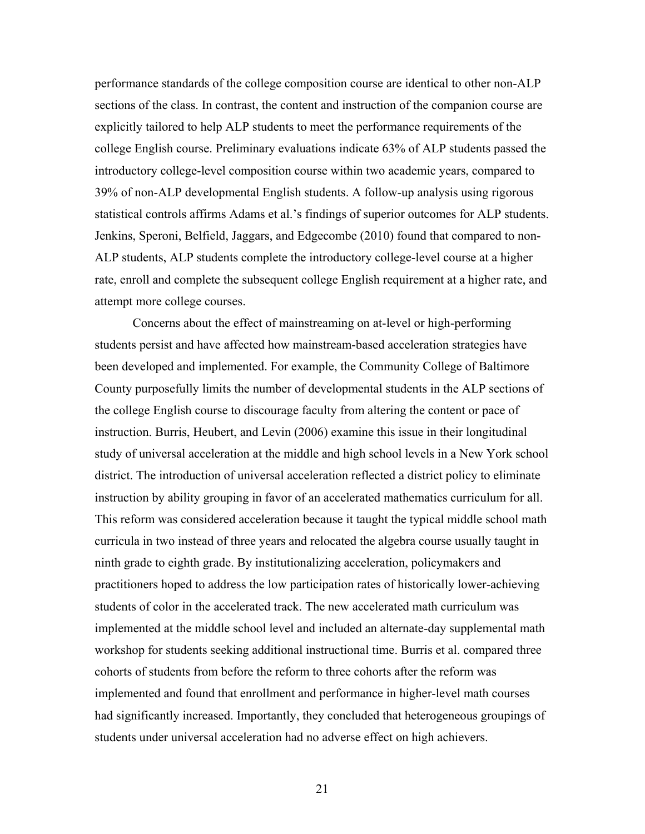performance standards of the college composition course are identical to other non-ALP sections of the class. In contrast, the content and instruction of the companion course are explicitly tailored to help ALP students to meet the performance requirements of the college English course. Preliminary evaluations indicate 63% of ALP students passed the introductory college-level composition course within two academic years, compared to 39% of non-ALP developmental English students. A follow-up analysis using rigorous statistical controls affirms Adams et al.'s findings of superior outcomes for ALP students. Jenkins, Speroni, Belfield, Jaggars, and Edgecombe (2010) found that compared to non-ALP students, ALP students complete the introductory college-level course at a higher rate, enroll and complete the subsequent college English requirement at a higher rate, and attempt more college courses.

Concerns about the effect of mainstreaming on at-level or high-performing students persist and have affected how mainstream-based acceleration strategies have been developed and implemented. For example, the Community College of Baltimore County purposefully limits the number of developmental students in the ALP sections of the college English course to discourage faculty from altering the content or pace of instruction. Burris, Heubert, and Levin (2006) examine this issue in their longitudinal study of universal acceleration at the middle and high school levels in a New York school district. The introduction of universal acceleration reflected a district policy to eliminate instruction by ability grouping in favor of an accelerated mathematics curriculum for all. This reform was considered acceleration because it taught the typical middle school math curricula in two instead of three years and relocated the algebra course usually taught in ninth grade to eighth grade. By institutionalizing acceleration, policymakers and practitioners hoped to address the low participation rates of historically lower-achieving students of color in the accelerated track. The new accelerated math curriculum was implemented at the middle school level and included an alternate-day supplemental math workshop for students seeking additional instructional time. Burris et al. compared three cohorts of students from before the reform to three cohorts after the reform was implemented and found that enrollment and performance in higher-level math courses had significantly increased. Importantly, they concluded that heterogeneous groupings of students under universal acceleration had no adverse effect on high achievers.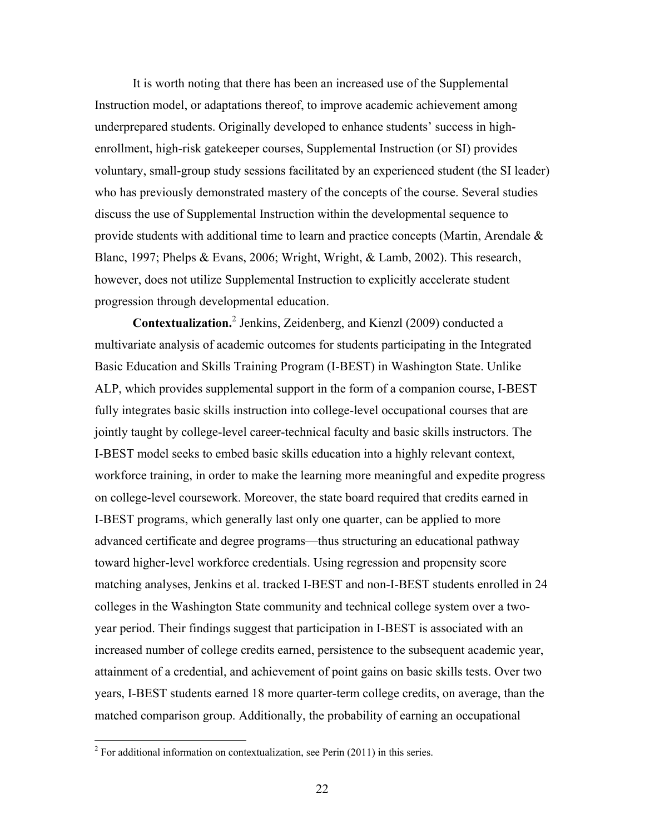It is worth noting that there has been an increased use of the Supplemental Instruction model, or adaptations thereof, to improve academic achievement among underprepared students. Originally developed to enhance students' success in highenrollment, high-risk gatekeeper courses, Supplemental Instruction (or SI) provides voluntary, small-group study sessions facilitated by an experienced student (the SI leader) who has previously demonstrated mastery of the concepts of the course. Several studies discuss the use of Supplemental Instruction within the developmental sequence to provide students with additional time to learn and practice concepts (Martin, Arendale  $\&$ Blanc, 1997; Phelps & Evans, 2006; Wright, Wright, & Lamb, 2002). This research, however, does not utilize Supplemental Instruction to explicitly accelerate student progression through developmental education.

**Contextualization.**<sup>2</sup> Jenkins, Zeidenberg, and Kienzl (2009) conducted a multivariate analysis of academic outcomes for students participating in the Integrated Basic Education and Skills Training Program (I-BEST) in Washington State. Unlike ALP, which provides supplemental support in the form of a companion course, I-BEST fully integrates basic skills instruction into college-level occupational courses that are jointly taught by college-level career-technical faculty and basic skills instructors. The I-BEST model seeks to embed basic skills education into a highly relevant context, workforce training, in order to make the learning more meaningful and expedite progress on college-level coursework. Moreover, the state board required that credits earned in I-BEST programs, which generally last only one quarter, can be applied to more advanced certificate and degree programs—thus structuring an educational pathway toward higher-level workforce credentials. Using regression and propensity score matching analyses, Jenkins et al. tracked I-BEST and non-I-BEST students enrolled in 24 colleges in the Washington State community and technical college system over a twoyear period. Their findings suggest that participation in I-BEST is associated with an increased number of college credits earned, persistence to the subsequent academic year, attainment of a credential, and achievement of point gains on basic skills tests. Over two years, I-BEST students earned 18 more quarter-term college credits, on average, than the matched comparison group. Additionally, the probability of earning an occupational

 2 For additional information on contextualization, see Perin (2011) in this series.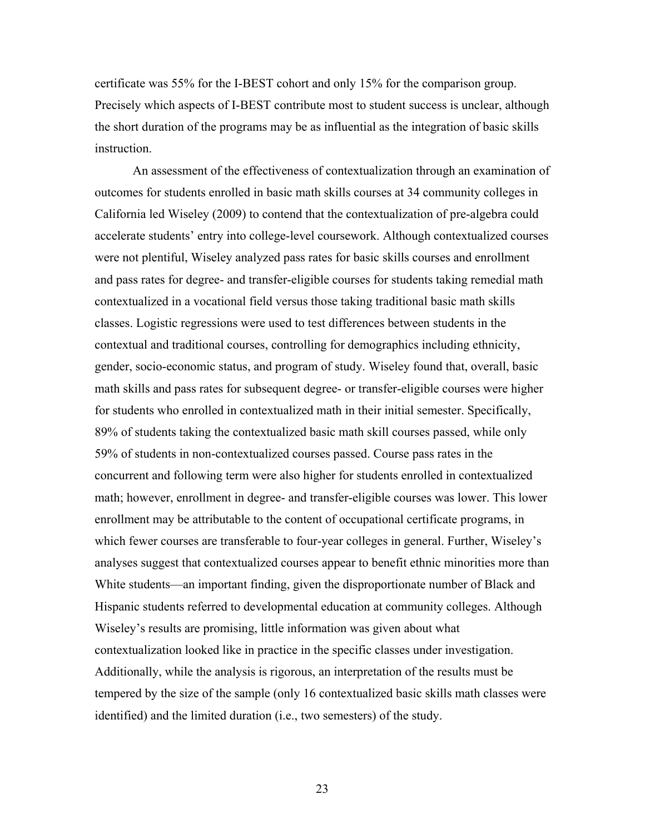certificate was 55% for the I-BEST cohort and only 15% for the comparison group. Precisely which aspects of I-BEST contribute most to student success is unclear, although the short duration of the programs may be as influential as the integration of basic skills instruction.

An assessment of the effectiveness of contextualization through an examination of outcomes for students enrolled in basic math skills courses at 34 community colleges in California led Wiseley (2009) to contend that the contextualization of pre-algebra could accelerate students' entry into college-level coursework. Although contextualized courses were not plentiful, Wiseley analyzed pass rates for basic skills courses and enrollment and pass rates for degree- and transfer-eligible courses for students taking remedial math contextualized in a vocational field versus those taking traditional basic math skills classes. Logistic regressions were used to test differences between students in the contextual and traditional courses, controlling for demographics including ethnicity, gender, socio-economic status, and program of study. Wiseley found that, overall, basic math skills and pass rates for subsequent degree- or transfer-eligible courses were higher for students who enrolled in contextualized math in their initial semester. Specifically, 89% of students taking the contextualized basic math skill courses passed, while only 59% of students in non-contextualized courses passed. Course pass rates in the concurrent and following term were also higher for students enrolled in contextualized math; however, enrollment in degree- and transfer-eligible courses was lower. This lower enrollment may be attributable to the content of occupational certificate programs, in which fewer courses are transferable to four-year colleges in general. Further, Wiseley's analyses suggest that contextualized courses appear to benefit ethnic minorities more than White students—an important finding, given the disproportionate number of Black and Hispanic students referred to developmental education at community colleges. Although Wiseley's results are promising, little information was given about what contextualization looked like in practice in the specific classes under investigation. Additionally, while the analysis is rigorous, an interpretation of the results must be tempered by the size of the sample (only 16 contextualized basic skills math classes were identified) and the limited duration (i.e., two semesters) of the study.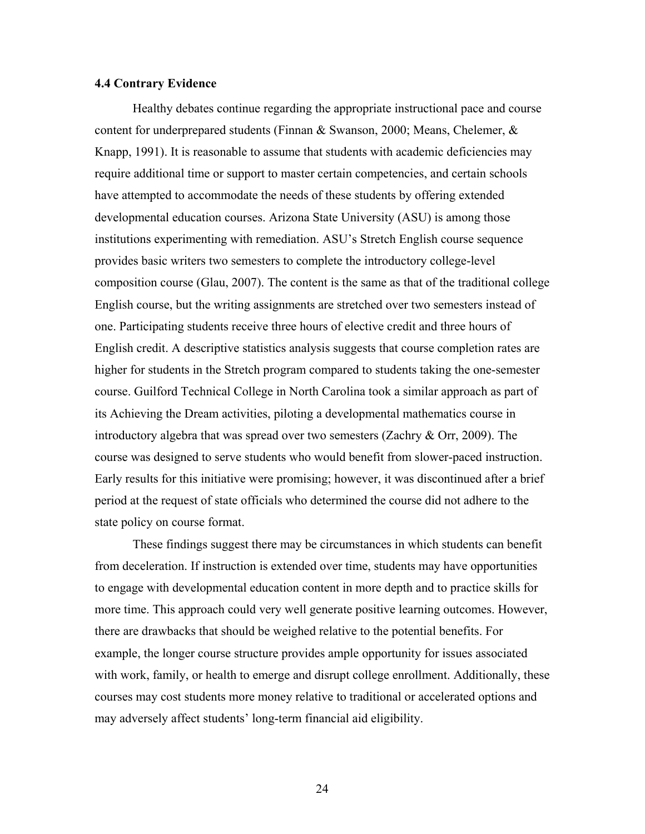# **4.4 Contrary Evidence**

Healthy debates continue regarding the appropriate instructional pace and course content for underprepared students (Finnan & Swanson, 2000; Means, Chelemer, & Knapp, 1991). It is reasonable to assume that students with academic deficiencies may require additional time or support to master certain competencies, and certain schools have attempted to accommodate the needs of these students by offering extended developmental education courses. Arizona State University (ASU) is among those institutions experimenting with remediation. ASU's Stretch English course sequence provides basic writers two semesters to complete the introductory college-level composition course (Glau, 2007). The content is the same as that of the traditional college English course, but the writing assignments are stretched over two semesters instead of one. Participating students receive three hours of elective credit and three hours of English credit. A descriptive statistics analysis suggests that course completion rates are higher for students in the Stretch program compared to students taking the one-semester course. Guilford Technical College in North Carolina took a similar approach as part of its Achieving the Dream activities, piloting a developmental mathematics course in introductory algebra that was spread over two semesters (Zachry  $\&$  Orr, 2009). The course was designed to serve students who would benefit from slower-paced instruction. Early results for this initiative were promising; however, it was discontinued after a brief period at the request of state officials who determined the course did not adhere to the state policy on course format.

These findings suggest there may be circumstances in which students can benefit from deceleration. If instruction is extended over time, students may have opportunities to engage with developmental education content in more depth and to practice skills for more time. This approach could very well generate positive learning outcomes. However, there are drawbacks that should be weighed relative to the potential benefits. For example, the longer course structure provides ample opportunity for issues associated with work, family, or health to emerge and disrupt college enrollment. Additionally, these courses may cost students more money relative to traditional or accelerated options and may adversely affect students' long-term financial aid eligibility.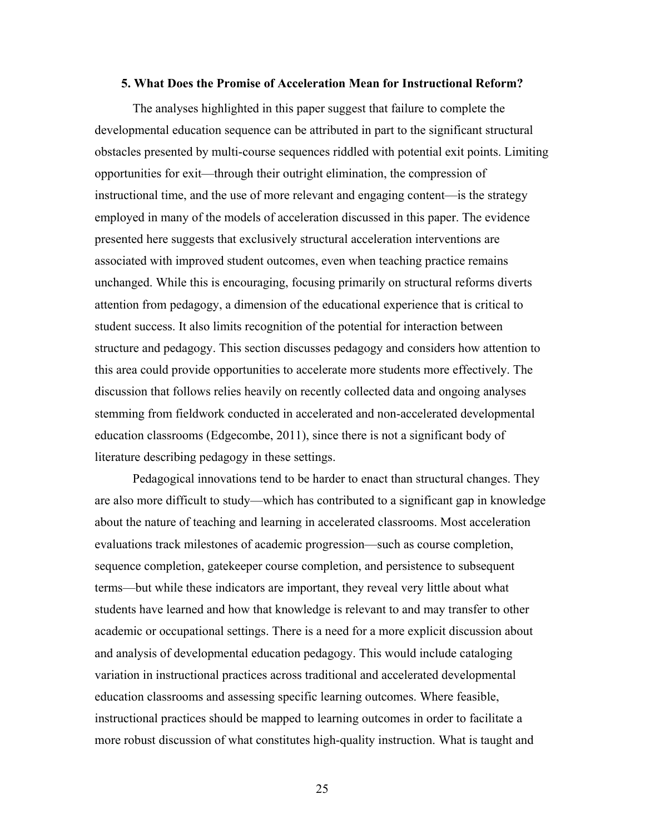#### **5. What Does the Promise of Acceleration Mean for Instructional Reform?**

The analyses highlighted in this paper suggest that failure to complete the developmental education sequence can be attributed in part to the significant structural obstacles presented by multi-course sequences riddled with potential exit points. Limiting opportunities for exit—through their outright elimination, the compression of instructional time, and the use of more relevant and engaging content—is the strategy employed in many of the models of acceleration discussed in this paper. The evidence presented here suggests that exclusively structural acceleration interventions are associated with improved student outcomes, even when teaching practice remains unchanged. While this is encouraging, focusing primarily on structural reforms diverts attention from pedagogy, a dimension of the educational experience that is critical to student success. It also limits recognition of the potential for interaction between structure and pedagogy. This section discusses pedagogy and considers how attention to this area could provide opportunities to accelerate more students more effectively. The discussion that follows relies heavily on recently collected data and ongoing analyses stemming from fieldwork conducted in accelerated and non-accelerated developmental education classrooms (Edgecombe, 2011), since there is not a significant body of literature describing pedagogy in these settings.

Pedagogical innovations tend to be harder to enact than structural changes. They are also more difficult to study—which has contributed to a significant gap in knowledge about the nature of teaching and learning in accelerated classrooms. Most acceleration evaluations track milestones of academic progression—such as course completion, sequence completion, gatekeeper course completion, and persistence to subsequent terms—but while these indicators are important, they reveal very little about what students have learned and how that knowledge is relevant to and may transfer to other academic or occupational settings. There is a need for a more explicit discussion about and analysis of developmental education pedagogy. This would include cataloging variation in instructional practices across traditional and accelerated developmental education classrooms and assessing specific learning outcomes. Where feasible, instructional practices should be mapped to learning outcomes in order to facilitate a more robust discussion of what constitutes high-quality instruction. What is taught and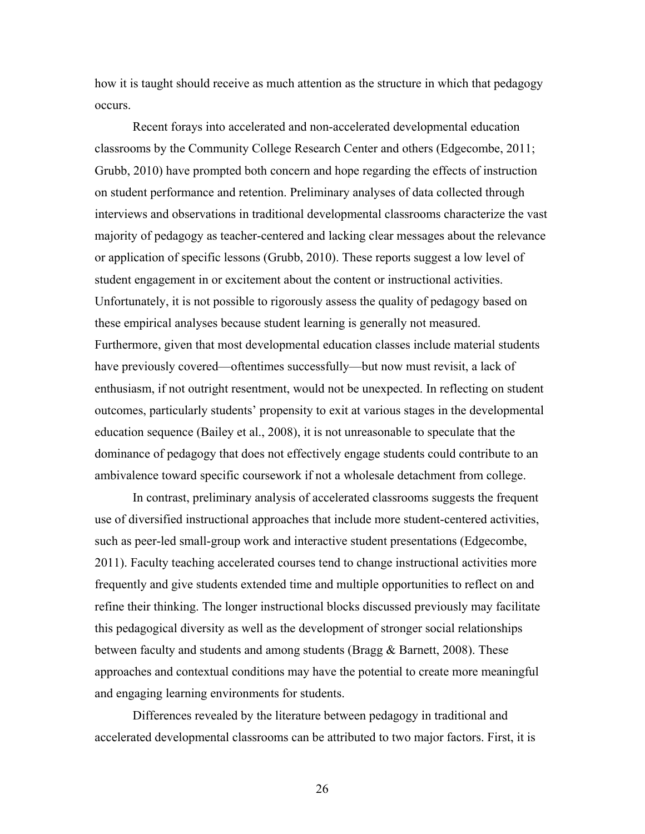how it is taught should receive as much attention as the structure in which that pedagogy occurs.

Recent forays into accelerated and non-accelerated developmental education classrooms by the Community College Research Center and others (Edgecombe, 2011; Grubb, 2010) have prompted both concern and hope regarding the effects of instruction on student performance and retention. Preliminary analyses of data collected through interviews and observations in traditional developmental classrooms characterize the vast majority of pedagogy as teacher-centered and lacking clear messages about the relevance or application of specific lessons (Grubb, 2010). These reports suggest a low level of student engagement in or excitement about the content or instructional activities. Unfortunately, it is not possible to rigorously assess the quality of pedagogy based on these empirical analyses because student learning is generally not measured. Furthermore, given that most developmental education classes include material students have previously covered—oftentimes successfully—but now must revisit, a lack of enthusiasm, if not outright resentment, would not be unexpected. In reflecting on student outcomes, particularly students' propensity to exit at various stages in the developmental education sequence (Bailey et al., 2008), it is not unreasonable to speculate that the dominance of pedagogy that does not effectively engage students could contribute to an ambivalence toward specific coursework if not a wholesale detachment from college.

In contrast, preliminary analysis of accelerated classrooms suggests the frequent use of diversified instructional approaches that include more student-centered activities, such as peer-led small-group work and interactive student presentations (Edgecombe, 2011). Faculty teaching accelerated courses tend to change instructional activities more frequently and give students extended time and multiple opportunities to reflect on and refine their thinking. The longer instructional blocks discussed previously may facilitate this pedagogical diversity as well as the development of stronger social relationships between faculty and students and among students (Bragg & Barnett, 2008). These approaches and contextual conditions may have the potential to create more meaningful and engaging learning environments for students.

Differences revealed by the literature between pedagogy in traditional and accelerated developmental classrooms can be attributed to two major factors. First, it is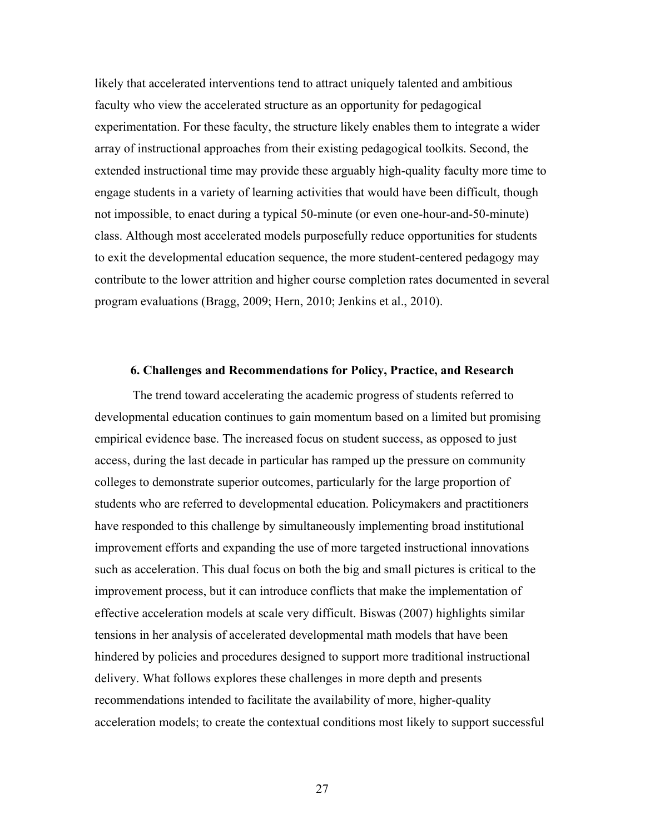likely that accelerated interventions tend to attract uniquely talented and ambitious faculty who view the accelerated structure as an opportunity for pedagogical experimentation. For these faculty, the structure likely enables them to integrate a wider array of instructional approaches from their existing pedagogical toolkits. Second, the extended instructional time may provide these arguably high-quality faculty more time to engage students in a variety of learning activities that would have been difficult, though not impossible, to enact during a typical 50-minute (or even one-hour-and-50-minute) class. Although most accelerated models purposefully reduce opportunities for students to exit the developmental education sequence, the more student-centered pedagogy may contribute to the lower attrition and higher course completion rates documented in several program evaluations (Bragg, 2009; Hern, 2010; Jenkins et al., 2010).

# **6. Challenges and Recommendations for Policy, Practice, and Research**

The trend toward accelerating the academic progress of students referred to developmental education continues to gain momentum based on a limited but promising empirical evidence base. The increased focus on student success, as opposed to just access, during the last decade in particular has ramped up the pressure on community colleges to demonstrate superior outcomes, particularly for the large proportion of students who are referred to developmental education. Policymakers and practitioners have responded to this challenge by simultaneously implementing broad institutional improvement efforts and expanding the use of more targeted instructional innovations such as acceleration. This dual focus on both the big and small pictures is critical to the improvement process, but it can introduce conflicts that make the implementation of effective acceleration models at scale very difficult. Biswas (2007) highlights similar tensions in her analysis of accelerated developmental math models that have been hindered by policies and procedures designed to support more traditional instructional delivery. What follows explores these challenges in more depth and presents recommendations intended to facilitate the availability of more, higher-quality acceleration models; to create the contextual conditions most likely to support successful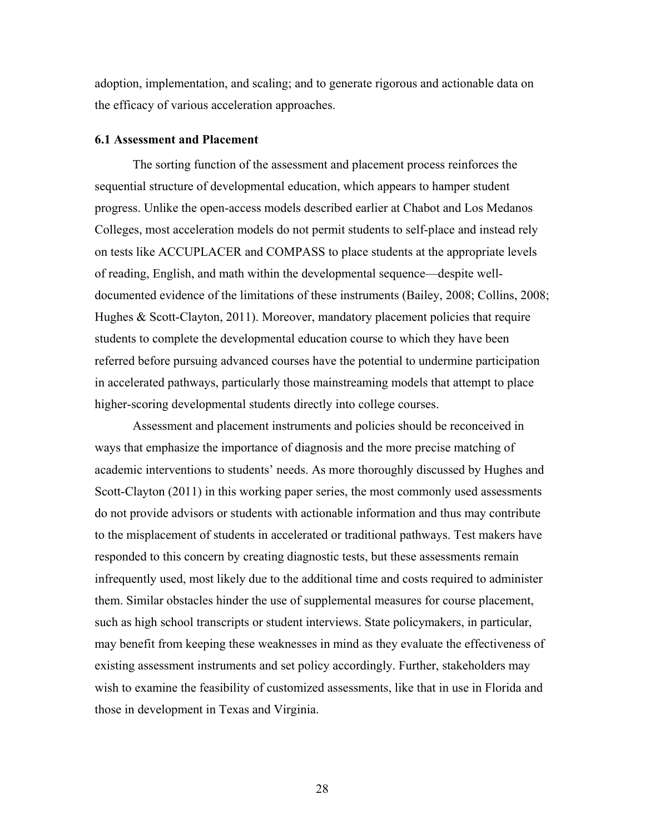adoption, implementation, and scaling; and to generate rigorous and actionable data on the efficacy of various acceleration approaches.

#### **6.1 Assessment and Placement**

The sorting function of the assessment and placement process reinforces the sequential structure of developmental education, which appears to hamper student progress. Unlike the open-access models described earlier at Chabot and Los Medanos Colleges, most acceleration models do not permit students to self-place and instead rely on tests like ACCUPLACER and COMPASS to place students at the appropriate levels of reading, English, and math within the developmental sequence—despite welldocumented evidence of the limitations of these instruments (Bailey, 2008; Collins, 2008; Hughes & Scott-Clayton, 2011). Moreover, mandatory placement policies that require students to complete the developmental education course to which they have been referred before pursuing advanced courses have the potential to undermine participation in accelerated pathways, particularly those mainstreaming models that attempt to place higher-scoring developmental students directly into college courses.

Assessment and placement instruments and policies should be reconceived in ways that emphasize the importance of diagnosis and the more precise matching of academic interventions to students' needs. As more thoroughly discussed by Hughes and Scott-Clayton (2011) in this working paper series, the most commonly used assessments do not provide advisors or students with actionable information and thus may contribute to the misplacement of students in accelerated or traditional pathways. Test makers have responded to this concern by creating diagnostic tests, but these assessments remain infrequently used, most likely due to the additional time and costs required to administer them. Similar obstacles hinder the use of supplemental measures for course placement, such as high school transcripts or student interviews. State policymakers, in particular, may benefit from keeping these weaknesses in mind as they evaluate the effectiveness of existing assessment instruments and set policy accordingly. Further, stakeholders may wish to examine the feasibility of customized assessments, like that in use in Florida and those in development in Texas and Virginia.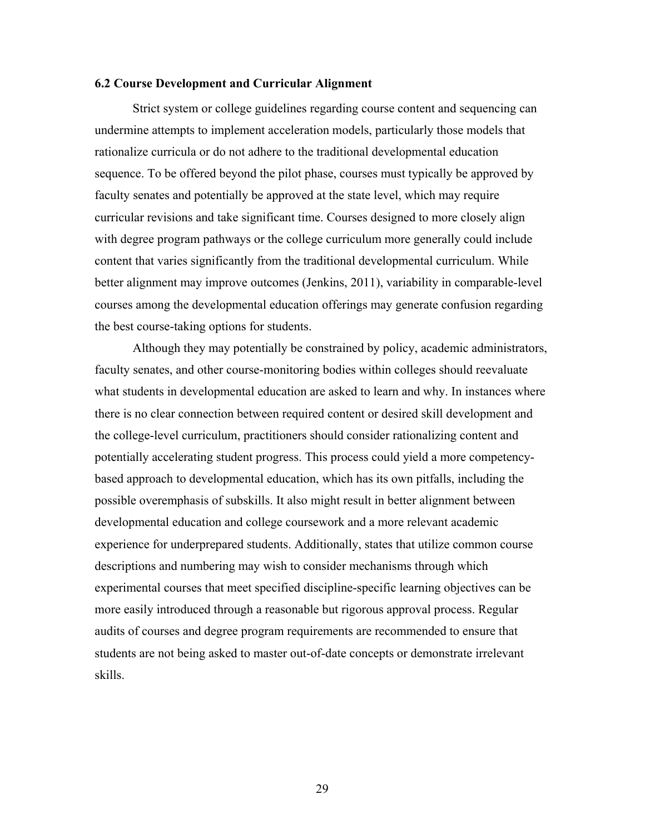# **6.2 Course Development and Curricular Alignment**

Strict system or college guidelines regarding course content and sequencing can undermine attempts to implement acceleration models, particularly those models that rationalize curricula or do not adhere to the traditional developmental education sequence. To be offered beyond the pilot phase, courses must typically be approved by faculty senates and potentially be approved at the state level, which may require curricular revisions and take significant time. Courses designed to more closely align with degree program pathways or the college curriculum more generally could include content that varies significantly from the traditional developmental curriculum. While better alignment may improve outcomes (Jenkins, 2011), variability in comparable-level courses among the developmental education offerings may generate confusion regarding the best course-taking options for students.

Although they may potentially be constrained by policy, academic administrators, faculty senates, and other course-monitoring bodies within colleges should reevaluate what students in developmental education are asked to learn and why. In instances where there is no clear connection between required content or desired skill development and the college-level curriculum, practitioners should consider rationalizing content and potentially accelerating student progress. This process could yield a more competencybased approach to developmental education, which has its own pitfalls, including the possible overemphasis of subskills. It also might result in better alignment between developmental education and college coursework and a more relevant academic experience for underprepared students. Additionally, states that utilize common course descriptions and numbering may wish to consider mechanisms through which experimental courses that meet specified discipline-specific learning objectives can be more easily introduced through a reasonable but rigorous approval process. Regular audits of courses and degree program requirements are recommended to ensure that students are not being asked to master out-of-date concepts or demonstrate irrelevant skills.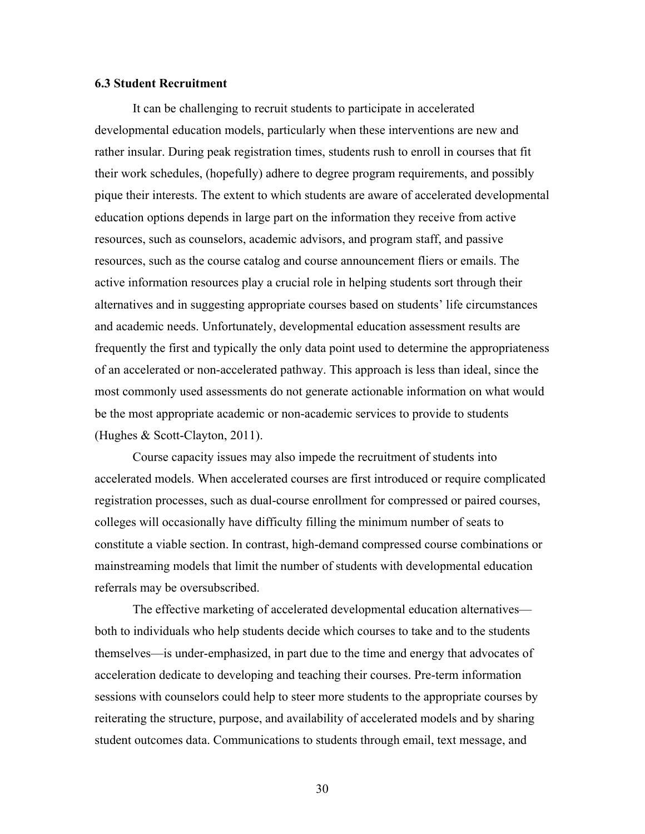# **6.3 Student Recruitment**

It can be challenging to recruit students to participate in accelerated developmental education models, particularly when these interventions are new and rather insular. During peak registration times, students rush to enroll in courses that fit their work schedules, (hopefully) adhere to degree program requirements, and possibly pique their interests. The extent to which students are aware of accelerated developmental education options depends in large part on the information they receive from active resources, such as counselors, academic advisors, and program staff, and passive resources, such as the course catalog and course announcement fliers or emails. The active information resources play a crucial role in helping students sort through their alternatives and in suggesting appropriate courses based on students' life circumstances and academic needs. Unfortunately, developmental education assessment results are frequently the first and typically the only data point used to determine the appropriateness of an accelerated or non-accelerated pathway. This approach is less than ideal, since the most commonly used assessments do not generate actionable information on what would be the most appropriate academic or non-academic services to provide to students (Hughes & Scott-Clayton, 2011).

Course capacity issues may also impede the recruitment of students into accelerated models. When accelerated courses are first introduced or require complicated registration processes, such as dual-course enrollment for compressed or paired courses, colleges will occasionally have difficulty filling the minimum number of seats to constitute a viable section. In contrast, high-demand compressed course combinations or mainstreaming models that limit the number of students with developmental education referrals may be oversubscribed.

The effective marketing of accelerated developmental education alternatives both to individuals who help students decide which courses to take and to the students themselves—is under-emphasized, in part due to the time and energy that advocates of acceleration dedicate to developing and teaching their courses. Pre-term information sessions with counselors could help to steer more students to the appropriate courses by reiterating the structure, purpose, and availability of accelerated models and by sharing student outcomes data. Communications to students through email, text message, and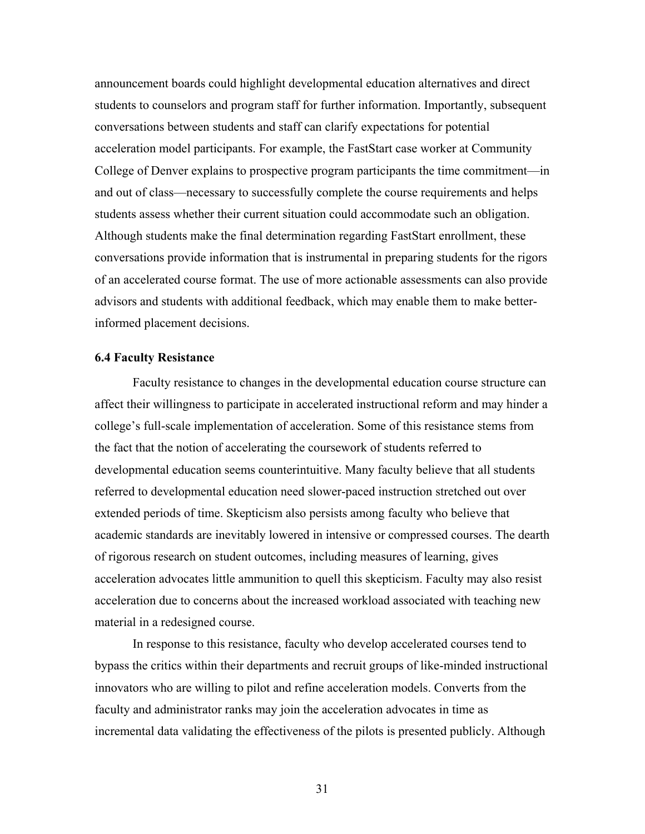announcement boards could highlight developmental education alternatives and direct students to counselors and program staff for further information. Importantly, subsequent conversations between students and staff can clarify expectations for potential acceleration model participants. For example, the FastStart case worker at Community College of Denver explains to prospective program participants the time commitment—in and out of class—necessary to successfully complete the course requirements and helps students assess whether their current situation could accommodate such an obligation. Although students make the final determination regarding FastStart enrollment, these conversations provide information that is instrumental in preparing students for the rigors of an accelerated course format. The use of more actionable assessments can also provide advisors and students with additional feedback, which may enable them to make betterinformed placement decisions.

#### **6.4 Faculty Resistance**

Faculty resistance to changes in the developmental education course structure can affect their willingness to participate in accelerated instructional reform and may hinder a college's full-scale implementation of acceleration. Some of this resistance stems from the fact that the notion of accelerating the coursework of students referred to developmental education seems counterintuitive. Many faculty believe that all students referred to developmental education need slower-paced instruction stretched out over extended periods of time. Skepticism also persists among faculty who believe that academic standards are inevitably lowered in intensive or compressed courses. The dearth of rigorous research on student outcomes, including measures of learning, gives acceleration advocates little ammunition to quell this skepticism. Faculty may also resist acceleration due to concerns about the increased workload associated with teaching new material in a redesigned course.

In response to this resistance, faculty who develop accelerated courses tend to bypass the critics within their departments and recruit groups of like-minded instructional innovators who are willing to pilot and refine acceleration models. Converts from the faculty and administrator ranks may join the acceleration advocates in time as incremental data validating the effectiveness of the pilots is presented publicly. Although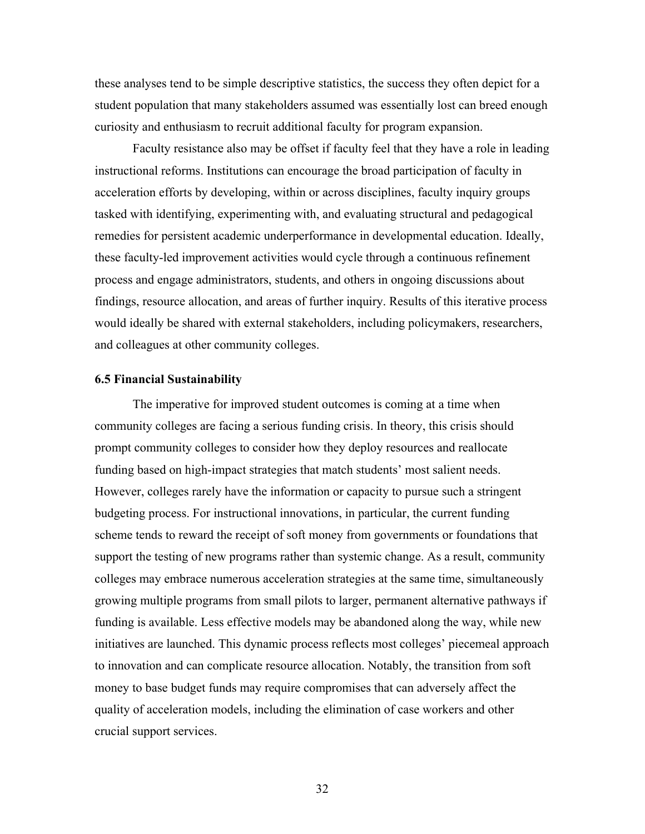these analyses tend to be simple descriptive statistics, the success they often depict for a student population that many stakeholders assumed was essentially lost can breed enough curiosity and enthusiasm to recruit additional faculty for program expansion.

Faculty resistance also may be offset if faculty feel that they have a role in leading instructional reforms. Institutions can encourage the broad participation of faculty in acceleration efforts by developing, within or across disciplines, faculty inquiry groups tasked with identifying, experimenting with, and evaluating structural and pedagogical remedies for persistent academic underperformance in developmental education. Ideally, these faculty-led improvement activities would cycle through a continuous refinement process and engage administrators, students, and others in ongoing discussions about findings, resource allocation, and areas of further inquiry. Results of this iterative process would ideally be shared with external stakeholders, including policymakers, researchers, and colleagues at other community colleges.

# **6.5 Financial Sustainability**

The imperative for improved student outcomes is coming at a time when community colleges are facing a serious funding crisis. In theory, this crisis should prompt community colleges to consider how they deploy resources and reallocate funding based on high-impact strategies that match students' most salient needs. However, colleges rarely have the information or capacity to pursue such a stringent budgeting process. For instructional innovations, in particular, the current funding scheme tends to reward the receipt of soft money from governments or foundations that support the testing of new programs rather than systemic change. As a result, community colleges may embrace numerous acceleration strategies at the same time, simultaneously growing multiple programs from small pilots to larger, permanent alternative pathways if funding is available. Less effective models may be abandoned along the way, while new initiatives are launched. This dynamic process reflects most colleges' piecemeal approach to innovation and can complicate resource allocation. Notably, the transition from soft money to base budget funds may require compromises that can adversely affect the quality of acceleration models, including the elimination of case workers and other crucial support services.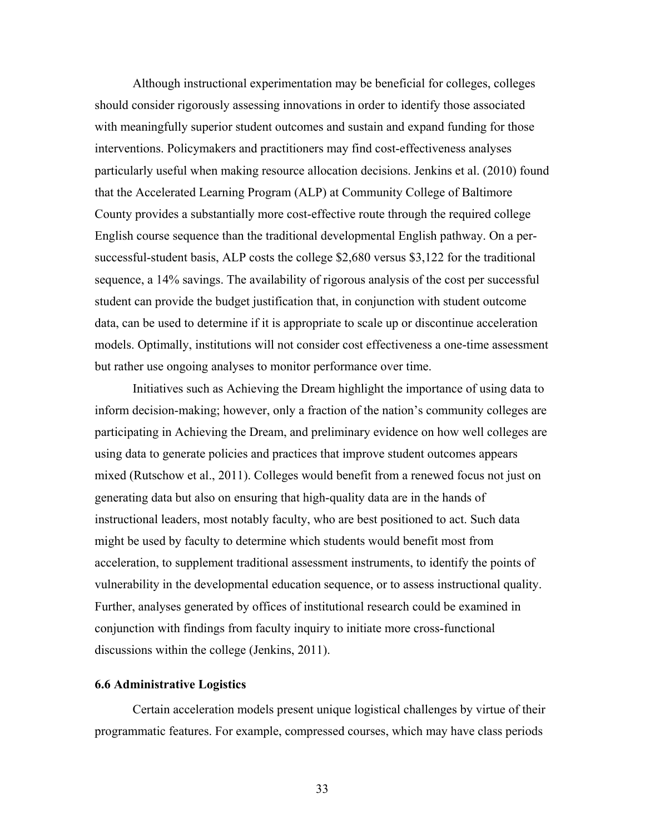Although instructional experimentation may be beneficial for colleges, colleges should consider rigorously assessing innovations in order to identify those associated with meaningfully superior student outcomes and sustain and expand funding for those interventions. Policymakers and practitioners may find cost-effectiveness analyses particularly useful when making resource allocation decisions. Jenkins et al. (2010) found that the Accelerated Learning Program (ALP) at Community College of Baltimore County provides a substantially more cost-effective route through the required college English course sequence than the traditional developmental English pathway. On a persuccessful-student basis, ALP costs the college \$2,680 versus \$3,122 for the traditional sequence, a 14% savings. The availability of rigorous analysis of the cost per successful student can provide the budget justification that, in conjunction with student outcome data, can be used to determine if it is appropriate to scale up or discontinue acceleration models. Optimally, institutions will not consider cost effectiveness a one-time assessment but rather use ongoing analyses to monitor performance over time.

Initiatives such as Achieving the Dream highlight the importance of using data to inform decision-making; however, only a fraction of the nation's community colleges are participating in Achieving the Dream, and preliminary evidence on how well colleges are using data to generate policies and practices that improve student outcomes appears mixed (Rutschow et al., 2011). Colleges would benefit from a renewed focus not just on generating data but also on ensuring that high-quality data are in the hands of instructional leaders, most notably faculty, who are best positioned to act. Such data might be used by faculty to determine which students would benefit most from acceleration, to supplement traditional assessment instruments, to identify the points of vulnerability in the developmental education sequence, or to assess instructional quality. Further, analyses generated by offices of institutional research could be examined in conjunction with findings from faculty inquiry to initiate more cross-functional discussions within the college (Jenkins, 2011).

# **6.6 Administrative Logistics**

Certain acceleration models present unique logistical challenges by virtue of their programmatic features. For example, compressed courses, which may have class periods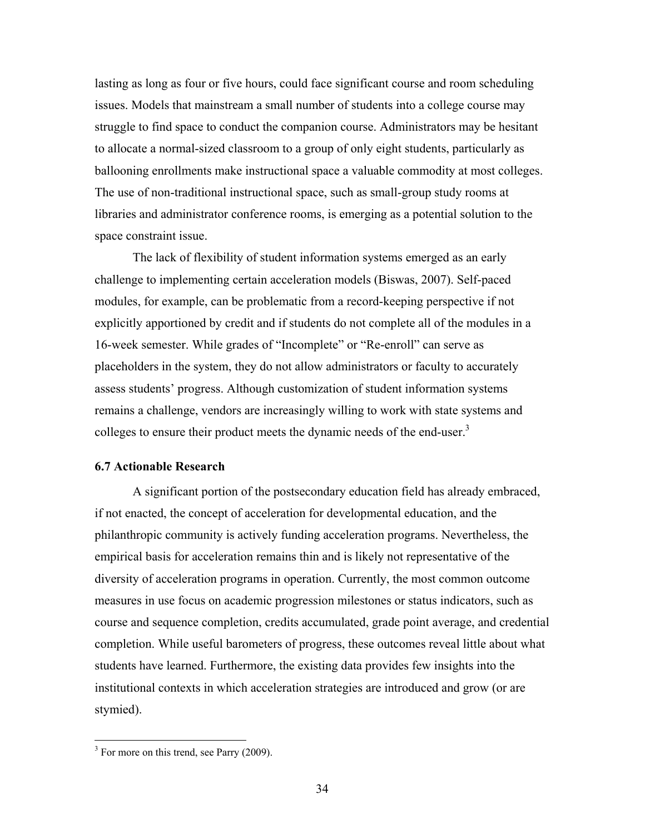lasting as long as four or five hours, could face significant course and room scheduling issues. Models that mainstream a small number of students into a college course may struggle to find space to conduct the companion course. Administrators may be hesitant to allocate a normal-sized classroom to a group of only eight students, particularly as ballooning enrollments make instructional space a valuable commodity at most colleges. The use of non-traditional instructional space, such as small-group study rooms at libraries and administrator conference rooms, is emerging as a potential solution to the space constraint issue.

The lack of flexibility of student information systems emerged as an early challenge to implementing certain acceleration models (Biswas, 2007). Self-paced modules, for example, can be problematic from a record-keeping perspective if not explicitly apportioned by credit and if students do not complete all of the modules in a 16-week semester. While grades of "Incomplete" or "Re-enroll" can serve as placeholders in the system, they do not allow administrators or faculty to accurately assess students' progress. Although customization of student information systems remains a challenge, vendors are increasingly willing to work with state systems and colleges to ensure their product meets the dynamic needs of the end-user.<sup>3</sup>

### **6.7 Actionable Research**

A significant portion of the postsecondary education field has already embraced, if not enacted, the concept of acceleration for developmental education, and the philanthropic community is actively funding acceleration programs. Nevertheless, the empirical basis for acceleration remains thin and is likely not representative of the diversity of acceleration programs in operation. Currently, the most common outcome measures in use focus on academic progression milestones or status indicators, such as course and sequence completion, credits accumulated, grade point average, and credential completion. While useful barometers of progress, these outcomes reveal little about what students have learned. Furthermore, the existing data provides few insights into the institutional contexts in which acceleration strategies are introduced and grow (or are stymied).

 $\overline{a}$ 

 $3$  For more on this trend, see Parry (2009).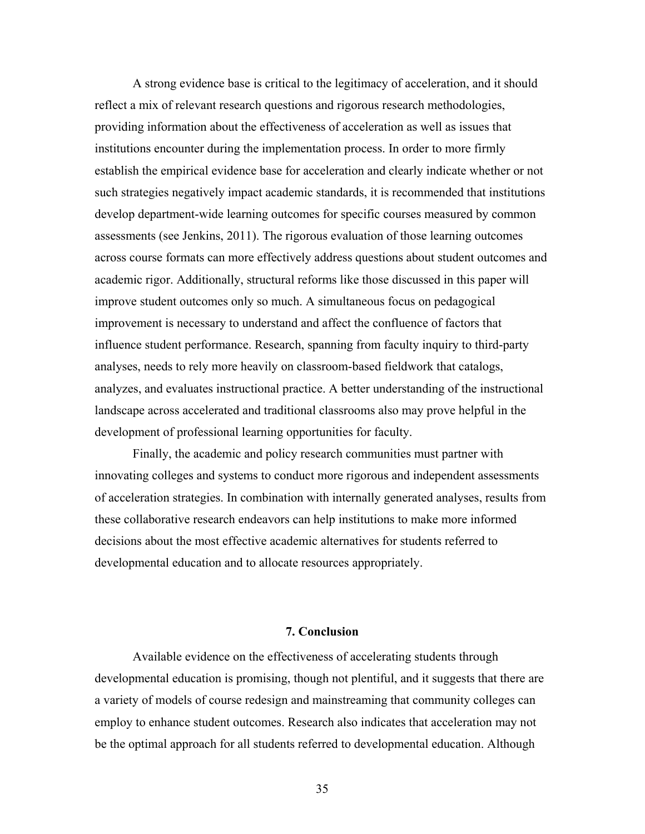A strong evidence base is critical to the legitimacy of acceleration, and it should reflect a mix of relevant research questions and rigorous research methodologies, providing information about the effectiveness of acceleration as well as issues that institutions encounter during the implementation process. In order to more firmly establish the empirical evidence base for acceleration and clearly indicate whether or not such strategies negatively impact academic standards, it is recommended that institutions develop department-wide learning outcomes for specific courses measured by common assessments (see Jenkins, 2011). The rigorous evaluation of those learning outcomes across course formats can more effectively address questions about student outcomes and academic rigor. Additionally, structural reforms like those discussed in this paper will improve student outcomes only so much. A simultaneous focus on pedagogical improvement is necessary to understand and affect the confluence of factors that influence student performance. Research, spanning from faculty inquiry to third-party analyses, needs to rely more heavily on classroom-based fieldwork that catalogs, analyzes, and evaluates instructional practice. A better understanding of the instructional landscape across accelerated and traditional classrooms also may prove helpful in the development of professional learning opportunities for faculty.

Finally, the academic and policy research communities must partner with innovating colleges and systems to conduct more rigorous and independent assessments of acceleration strategies. In combination with internally generated analyses, results from these collaborative research endeavors can help institutions to make more informed decisions about the most effective academic alternatives for students referred to developmental education and to allocate resources appropriately.

#### **7. Conclusion**

Available evidence on the effectiveness of accelerating students through developmental education is promising, though not plentiful, and it suggests that there are a variety of models of course redesign and mainstreaming that community colleges can employ to enhance student outcomes. Research also indicates that acceleration may not be the optimal approach for all students referred to developmental education. Although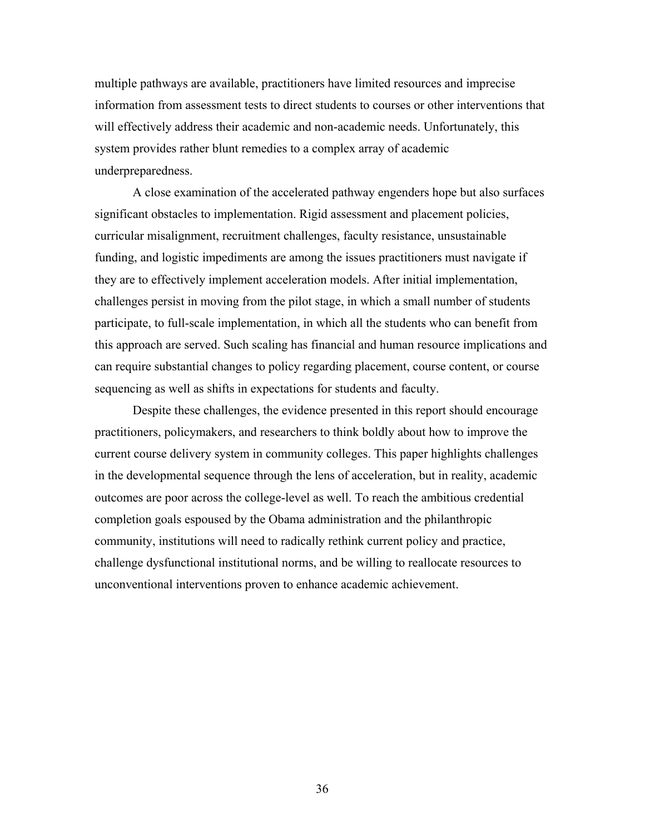multiple pathways are available, practitioners have limited resources and imprecise information from assessment tests to direct students to courses or other interventions that will effectively address their academic and non-academic needs. Unfortunately, this system provides rather blunt remedies to a complex array of academic underpreparedness.

A close examination of the accelerated pathway engenders hope but also surfaces significant obstacles to implementation. Rigid assessment and placement policies, curricular misalignment, recruitment challenges, faculty resistance, unsustainable funding, and logistic impediments are among the issues practitioners must navigate if they are to effectively implement acceleration models. After initial implementation, challenges persist in moving from the pilot stage, in which a small number of students participate, to full-scale implementation, in which all the students who can benefit from this approach are served. Such scaling has financial and human resource implications and can require substantial changes to policy regarding placement, course content, or course sequencing as well as shifts in expectations for students and faculty.

Despite these challenges, the evidence presented in this report should encourage practitioners, policymakers, and researchers to think boldly about how to improve the current course delivery system in community colleges. This paper highlights challenges in the developmental sequence through the lens of acceleration, but in reality, academic outcomes are poor across the college-level as well. To reach the ambitious credential completion goals espoused by the Obama administration and the philanthropic community, institutions will need to radically rethink current policy and practice, challenge dysfunctional institutional norms, and be willing to reallocate resources to unconventional interventions proven to enhance academic achievement.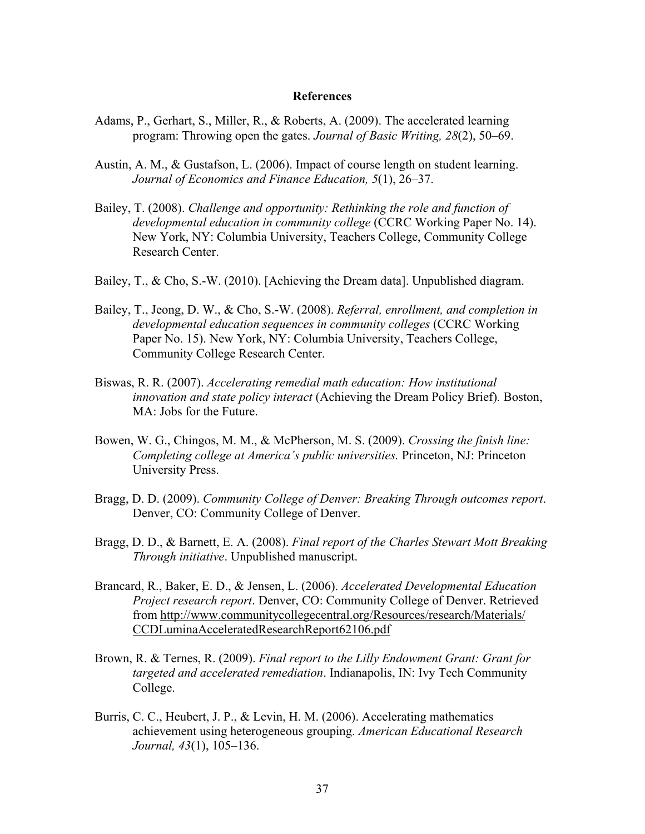#### **References**

- Adams, P., Gerhart, S., Miller, R., & Roberts, A. (2009). The accelerated learning program: Throwing open the gates. *Journal of Basic Writing, 28*(2), 50–69.
- Austin, A. M., & Gustafson, L. (2006). Impact of course length on student learning. *Journal of Economics and Finance Education, 5*(1), 26–37.
- Bailey, T. (2008). *Challenge and opportunity: Rethinking the role and function of developmental education in community college* (CCRC Working Paper No. 14). New York, NY: Columbia University, Teachers College, Community College Research Center.
- Bailey, T., & Cho, S.-W. (2010). [Achieving the Dream data]. Unpublished diagram.
- Bailey, T., Jeong, D. W., & Cho, S.-W. (2008). *Referral, enrollment, and completion in developmental education sequences in community colleges* (CCRC Working Paper No. 15). New York, NY: Columbia University, Teachers College, Community College Research Center.
- Biswas, R. R. (2007). *Accelerating remedial math education: How institutional innovation and state policy interact* (Achieving the Dream Policy Brief)*.* Boston, MA: Jobs for the Future.
- Bowen, W. G., Chingos, M. M., & McPherson, M. S. (2009). *Crossing the finish line: Completing college at America's public universities.* Princeton, NJ: Princeton University Press.
- Bragg, D. D. (2009). *Community College of Denver: Breaking Through outcomes report*. Denver, CO: Community College of Denver.
- Bragg, D. D., & Barnett, E. A. (2008). *Final report of the Charles Stewart Mott Breaking Through initiative*. Unpublished manuscript.
- Brancard, R., Baker, E. D., & Jensen, L. (2006). *Accelerated Developmental Education Project research report*. Denver, CO: Community College of Denver. Retrieved from http://www.communitycollegecentral.org/Resources/research/Materials/ CCDLuminaAcceleratedResearchReport62106.pdf
- Brown, R. & Ternes, R. (2009). *Final report to the Lilly Endowment Grant: Grant for targeted and accelerated remediation*. Indianapolis, IN: Ivy Tech Community College.
- Burris, C. C., Heubert, J. P., & Levin, H. M. (2006). Accelerating mathematics achievement using heterogeneous grouping. *American Educational Research Journal, 43*(1), 105–136.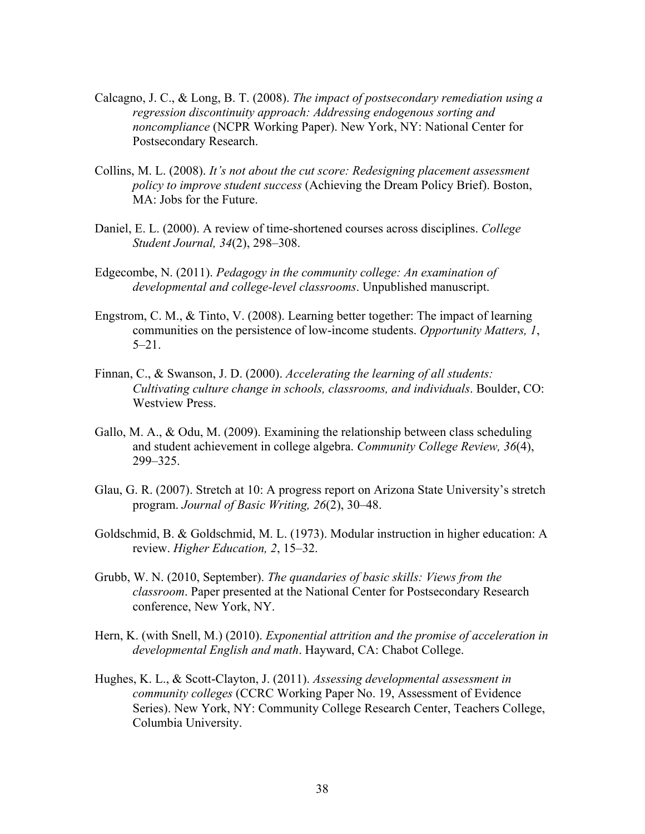- Calcagno, J. C., & Long, B. T. (2008). *The impact of postsecondary remediation using a regression discontinuity approach: Addressing endogenous sorting and noncompliance* (NCPR Working Paper). New York, NY: National Center for Postsecondary Research.
- Collins, M. L. (2008). *It's not about the cut score: Redesigning placement assessment policy to improve student success* (Achieving the Dream Policy Brief). Boston, MA: Jobs for the Future.
- Daniel, E. L. (2000). A review of time-shortened courses across disciplines. *College Student Journal, 34*(2), 298–308.
- Edgecombe, N. (2011). *Pedagogy in the community college: An examination of developmental and college-level classrooms*. Unpublished manuscript.
- Engstrom, C. M., & Tinto, V. (2008). Learning better together: The impact of learning communities on the persistence of low-income students. *Opportunity Matters, 1*, 5–21.
- Finnan, C., & Swanson, J. D. (2000). *Accelerating the learning of all students: Cultivating culture change in schools, classrooms, and individuals*. Boulder, CO: Westview Press.
- Gallo, M. A., & Odu, M. (2009). Examining the relationship between class scheduling and student achievement in college algebra. *Community College Review, 36*(4), 299–325.
- Glau, G. R. (2007). Stretch at 10: A progress report on Arizona State University's stretch program. *Journal of Basic Writing, 26*(2), 30–48.
- Goldschmid, B. & Goldschmid, M. L. (1973). Modular instruction in higher education: A review. *Higher Education, 2*, 15–32.
- Grubb, W. N. (2010, September). *The quandaries of basic skills: Views from the classroom*. Paper presented at the National Center for Postsecondary Research conference, New York, NY.
- Hern, K. (with Snell, M.) (2010). *Exponential attrition and the promise of acceleration in developmental English and math*. Hayward, CA: Chabot College.
- Hughes, K. L., & Scott-Clayton, J. (2011). *Assessing developmental assessment in community colleges* (CCRC Working Paper No. 19, Assessment of Evidence Series). New York, NY: Community College Research Center, Teachers College, Columbia University.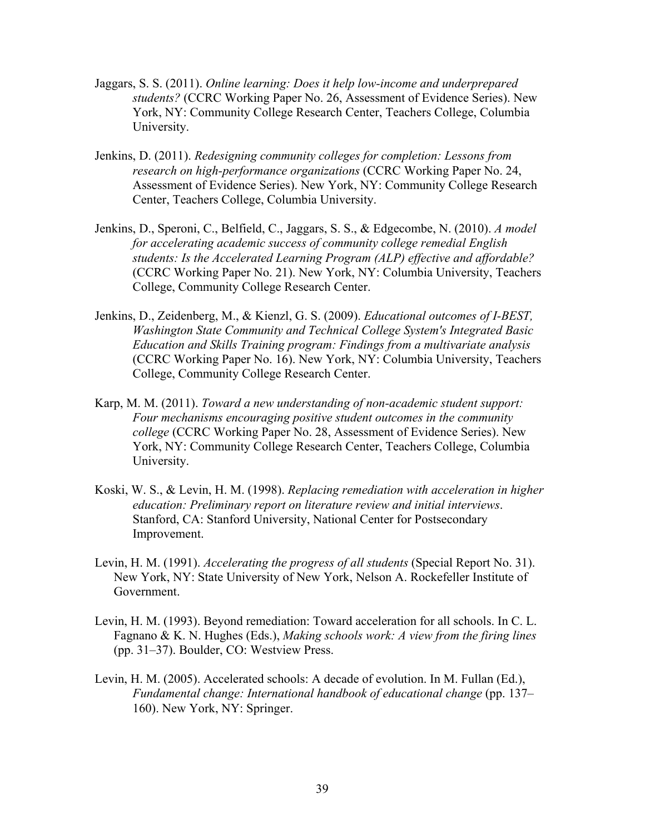- Jaggars, S. S. (2011). *Online learning: Does it help low-income and underprepared students?* (CCRC Working Paper No. 26, Assessment of Evidence Series). New York, NY: Community College Research Center, Teachers College, Columbia University.
- Jenkins, D. (2011). *Redesigning community colleges for completion: Lessons from research on high-performance organizations* (CCRC Working Paper No. 24, Assessment of Evidence Series). New York, NY: Community College Research Center, Teachers College, Columbia University.
- Jenkins, D., Speroni, C., Belfield, C., Jaggars, S. S., & Edgecombe, N. (2010). *A model for accelerating academic success of community college remedial English students: Is the Accelerated Learning Program (ALP) effective and affordable?*  (CCRC Working Paper No. 21). New York, NY: Columbia University, Teachers College, Community College Research Center.
- Jenkins, D., Zeidenberg, M., & Kienzl, G. S. (2009). *Educational outcomes of I-BEST, Washington State Community and Technical College System's Integrated Basic Education and Skills Training program: Findings from a multivariate analysis*  (CCRC Working Paper No. 16). New York, NY: Columbia University, Teachers College, Community College Research Center.
- Karp, M. M. (2011). *Toward a new understanding of non-academic student support: Four mechanisms encouraging positive student outcomes in the community college* (CCRC Working Paper No. 28, Assessment of Evidence Series). New York, NY: Community College Research Center, Teachers College, Columbia University.
- Koski, W. S., & Levin, H. M. (1998). *Replacing remediation with acceleration in higher education: Preliminary report on literature review and initial interviews*. Stanford, CA: Stanford University, National Center for Postsecondary Improvement.
- Levin, H. M. (1991). *Accelerating the progress of all students* (Special Report No. 31). New York, NY: State University of New York, Nelson A. Rockefeller Institute of Government.
- Levin, H. M. (1993). Beyond remediation: Toward acceleration for all schools. In C. L. Fagnano & K. N. Hughes (Eds.), *Making schools work: A view from the firing lines*  (pp. 31–37). Boulder, CO: Westview Press.
- Levin, H. M. (2005). Accelerated schools: A decade of evolution. In M. Fullan (Ed.), *Fundamental change: International handbook of educational change* (pp. 137– 160). New York, NY: Springer.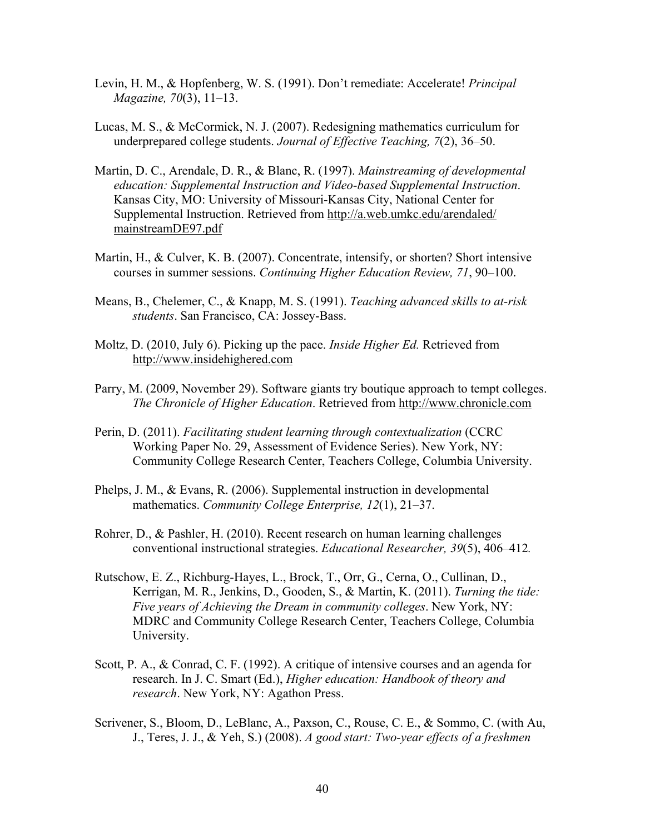- Levin, H. M., & Hopfenberg, W. S. (1991). Don't remediate: Accelerate! *Principal Magazine, 70*(3), 11–13.
- Lucas, M. S., & McCormick, N. J. (2007). Redesigning mathematics curriculum for underprepared college students. *Journal of Effective Teaching, 7*(2), 36–50.
- Martin, D. C., Arendale, D. R., & Blanc, R. (1997). *Mainstreaming of developmental education: Supplemental Instruction and Video-based Supplemental Instruction*. Kansas City, MO: University of Missouri-Kansas City, National Center for Supplemental Instruction. Retrieved from http://a.web.umkc.edu/arendaled/ mainstreamDE97.pdf
- Martin, H., & Culver, K. B. (2007). Concentrate, intensify, or shorten? Short intensive courses in summer sessions. *Continuing Higher Education Review, 71*, 90–100.
- Means, B., Chelemer, C., & Knapp, M. S. (1991). *Teaching advanced skills to at-risk students*. San Francisco, CA: Jossey-Bass.
- Moltz, D. (2010, July 6). Picking up the pace. *Inside Higher Ed.* Retrieved from http://www.insidehighered.com
- Parry, M. (2009, November 29). Software giants try boutique approach to tempt colleges. *The Chronicle of Higher Education*. Retrieved from http://www.chronicle.com
- Perin, D. (2011). *Facilitating student learning through contextualization* (CCRC Working Paper No. 29, Assessment of Evidence Series). New York, NY: Community College Research Center, Teachers College, Columbia University.
- Phelps, J. M., & Evans, R. (2006). Supplemental instruction in developmental mathematics. *Community College Enterprise, 12*(1), 21–37.
- Rohrer, D., & Pashler, H. (2010). Recent research on human learning challenges conventional instructional strategies. *Educational Researcher, 39*(5), 406–412*.*
- Rutschow, E. Z., Richburg-Hayes, L., Brock, T., Orr, G., Cerna, O., Cullinan, D., Kerrigan, M. R., Jenkins, D., Gooden, S., & Martin, K. (2011). *Turning the tide: Five years of Achieving the Dream in community colleges*. New York, NY: MDRC and Community College Research Center, Teachers College, Columbia University.
- Scott, P. A., & Conrad, C. F. (1992). A critique of intensive courses and an agenda for research. In J. C. Smart (Ed.), *Higher education: Handbook of theory and research*. New York, NY: Agathon Press.
- Scrivener, S., Bloom, D., LeBlanc, A., Paxson, C., Rouse, C. E., & Sommo, C. (with Au, J., Teres, J. J., & Yeh, S.) (2008). *A good start: Two-year effects of a freshmen*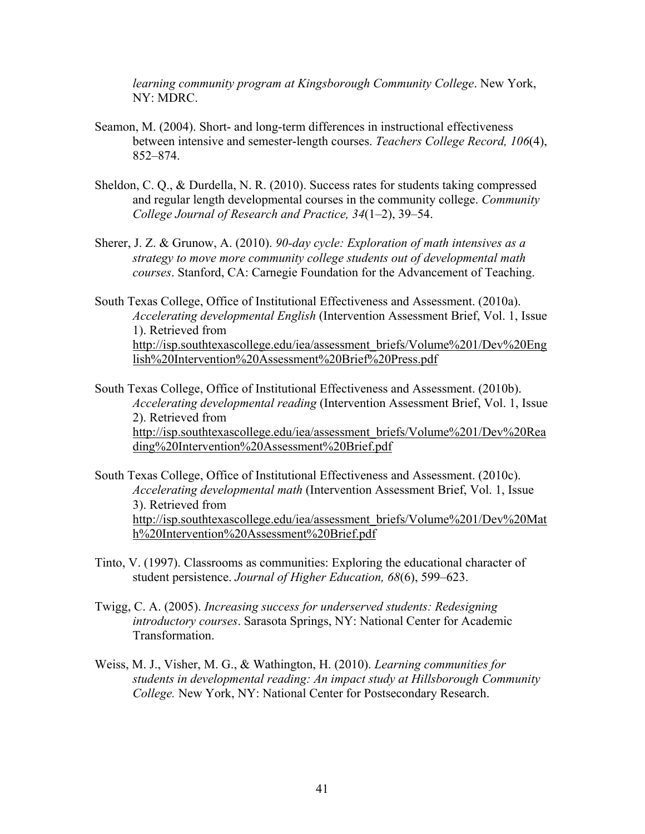*learning community program at Kingsborough Community College*. New York, NY: MDRC.

- Seamon, M. (2004). Short- and long-term differences in instructional effectiveness between intensive and semester-length courses. *Teachers College Record, 106*(4), 852–874.
- Sheldon, C. Q., & Durdella, N. R. (2010). Success rates for students taking compressed and regular length developmental courses in the community college. *Community College Journal of Research and Practice, 34*(1–2), 39–54.
- Sherer, J. Z. & Grunow, A. (2010). *90-day cycle: Exploration of math intensives as a strategy to move more community college students out of developmental math courses*. Stanford, CA: Carnegie Foundation for the Advancement of Teaching.
- South Texas College, Office of Institutional Effectiveness and Assessment. (2010a). *Accelerating developmental English* (Intervention Assessment Brief, Vol. 1, Issue 1). Retrieved from http://isp.southtexascollege.edu/iea/assessment\_briefs/Volume%201/Dev%20Eng lish%20Intervention%20Assessment%20Brief%20Press.pdf
- South Texas College, Office of Institutional Effectiveness and Assessment. (2010b). *Accelerating developmental reading* (Intervention Assessment Brief, Vol. 1, Issue 2). Retrieved from http://isp.southtexascollege.edu/iea/assessment\_briefs/Volume%201/Dev%20Rea ding%20Intervention%20Assessment%20Brief.pdf
- South Texas College, Office of Institutional Effectiveness and Assessment. (2010c). *Accelerating developmental math* (Intervention Assessment Brief, Vol. 1, Issue 3). Retrieved from http://isp.southtexascollege.edu/iea/assessment\_briefs/Volume%201/Dev%20Mat h%20Intervention%20Assessment%20Brief.pdf
- Tinto, V. (1997). Classrooms as communities: Exploring the educational character of student persistence. *Journal of Higher Education, 68*(6), 599–623.
- Twigg, C. A. (2005). *Increasing success for underserved students: Redesigning introductory courses*. Sarasota Springs, NY: National Center for Academic Transformation.
- Weiss, M. J., Visher, M. G., & Wathington, H. (2010). *Learning communities for students in developmental reading: An impact study at Hillsborough Community College.* New York, NY: National Center for Postsecondary Research.